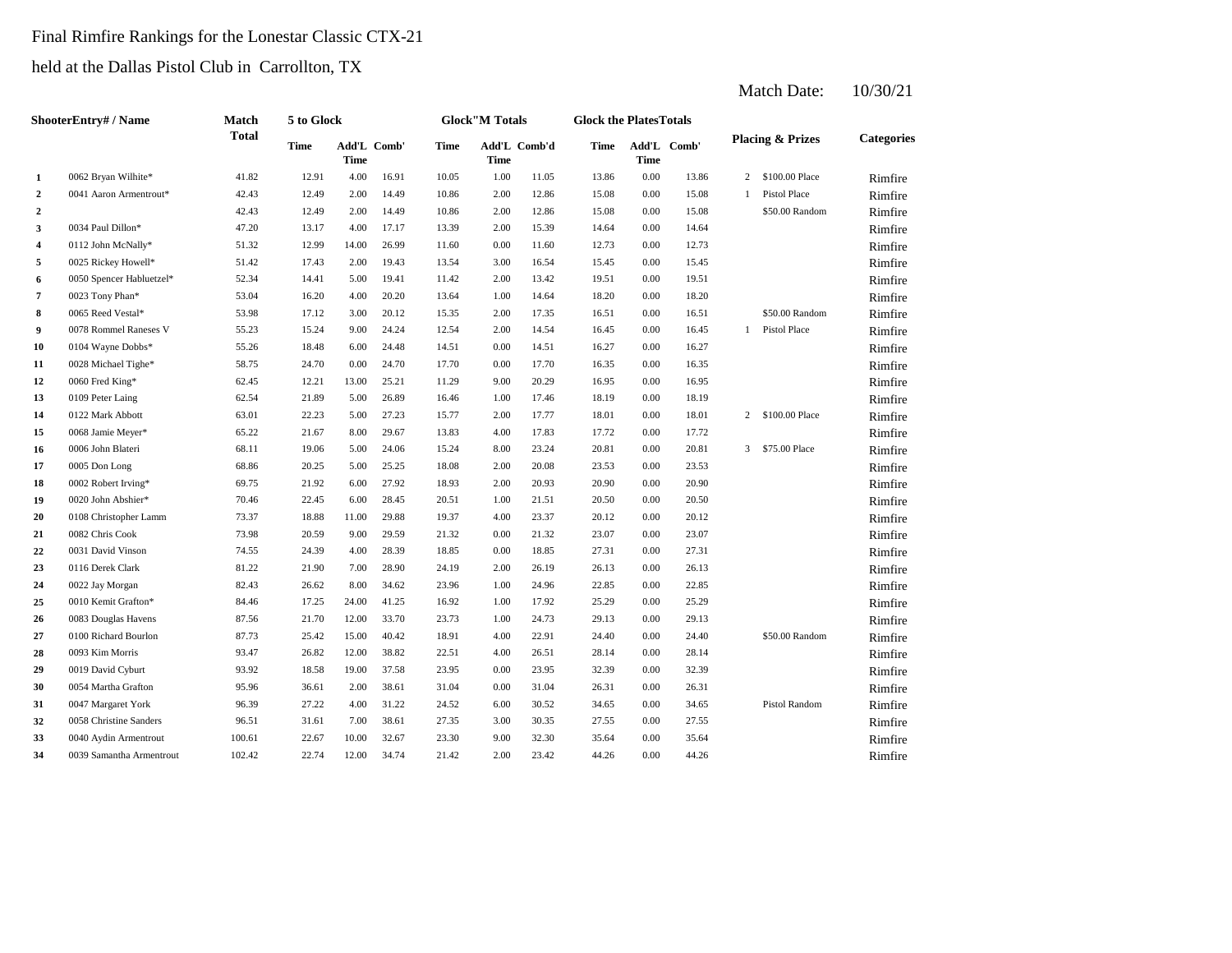#### Final Rimfire Rankings for the Lonestar Classic CTX-21

held at the Dallas Pistol Club in Carrollton, TX

| ShooterEntry# / Name |                          | Match  | 5 to Glock  |                            |       |             | <b>Glock</b> "M Totals |              | <b>Glock the PlatesTotals</b> |             |             |                |                             |                   |
|----------------------|--------------------------|--------|-------------|----------------------------|-------|-------------|------------------------|--------------|-------------------------------|-------------|-------------|----------------|-----------------------------|-------------------|
|                      |                          | Total  | <b>Time</b> | Add'L Comb'<br><b>Time</b> |       | <b>Time</b> | Time                   | Add'L Comb'd | Time                          | <b>Time</b> | Add'L Comb' |                | <b>Placing &amp; Prizes</b> | <b>Categories</b> |
| 1                    | 0062 Bryan Wilhite*      | 41.82  | 12.91       | 4.00                       | 16.91 | 10.05       | 1.00                   | 11.05        | 13.86                         | 0.00        | 13.86       | 2              | \$100.00 Place              | Rimfire           |
| $\boldsymbol{2}$     | 0041 Aaron Armentrout*   | 42.43  | 12.49       | 2.00                       | 14.49 | 10.86       | 2.00                   | 12.86        | 15.08                         | 0.00        | 15.08       | 1              | <b>Pistol Place</b>         | Rimfire           |
| $\overline{2}$       |                          | 42.43  | 12.49       | 2.00                       | 14.49 | 10.86       | 2.00                   | 12.86        | 15.08                         | 0.00        | 15.08       |                | \$50.00 Random              | Rimfire           |
| 3                    | 0034 Paul Dillon*        | 47.20  | 13.17       | 4.00                       | 17.17 | 13.39       | 2.00                   | 15.39        | 14.64                         | 0.00        | 14.64       |                |                             | Rimfire           |
| 4                    | 0112 John McNally*       | 51.32  | 12.99       | 14.00                      | 26.99 | 11.60       | 0.00                   | 11.60        | 12.73                         | 0.00        | 12.73       |                |                             | Rimfire           |
| 5                    | 0025 Rickey Howell*      | 51.42  | 17.43       | 2.00                       | 19.43 | 13.54       | 3.00                   | 16.54        | 15.45                         | 0.00        | 15.45       |                |                             | Rimfire           |
| 6                    | 0050 Spencer Habluetzel* | 52.34  | 14.41       | 5.00                       | 19.41 | 11.42       | 2.00                   | 13.42        | 19.51                         | 0.00        | 19.51       |                |                             | Rimfire           |
| 7                    | 0023 Tony Phan*          | 53.04  | 16.20       | 4.00                       | 20.20 | 13.64       | 1.00                   | 14.64        | 18.20                         | 0.00        | 18.20       |                |                             | Rimfire           |
| 8                    | 0065 Reed Vestal*        | 53.98  | 17.12       | 3.00                       | 20.12 | 15.35       | 2.00                   | 17.35        | 16.51                         | 0.00        | 16.51       |                | \$50.00 Random              | Rimfire           |
| $\boldsymbol{9}$     | 0078 Rommel Raneses V    | 55.23  | 15.24       | 9.00                       | 24.24 | 12.54       | 2.00                   | 14.54        | 16.45                         | 0.00        | 16.45       |                | 1 Pistol Place              | Rimfire           |
| 10                   | 0104 Wayne Dobbs*        | 55.26  | 18.48       | 6.00                       | 24.48 | 14.51       | 0.00                   | 14.51        | 16.27                         | 0.00        | 16.27       |                |                             | Rimfire           |
| 11                   | 0028 Michael Tighe*      | 58.75  | 24.70       | 0.00                       | 24.70 | 17.70       | 0.00                   | 17.70        | 16.35                         | 0.00        | 16.35       |                |                             | Rimfire           |
| 12                   | 0060 Fred King*          | 62.45  | 12.21       | 13.00                      | 25.21 | 11.29       | 9.00                   | 20.29        | 16.95                         | 0.00        | 16.95       |                |                             | Rimfire           |
| 13                   | 0109 Peter Laing         | 62.54  | 21.89       | 5.00                       | 26.89 | 16.46       | 1.00                   | 17.46        | 18.19                         | 0.00        | 18.19       |                |                             | Rimfire           |
| 14                   | 0122 Mark Abbott         | 63.01  | 22.23       | 5.00                       | 27.23 | 15.77       | 2.00                   | 17.77        | 18.01                         | 0.00        | 18.01       | $\overline{2}$ | \$100.00 Place              | Rimfire           |
| 15                   | 0068 Jamie Meyer*        | 65.22  | 21.67       | 8.00                       | 29.67 | 13.83       | 4.00                   | 17.83        | 17.72                         | 0.00        | 17.72       |                |                             | Rimfire           |
| 16                   | 0006 John Blateri        | 68.11  | 19.06       | 5.00                       | 24.06 | 15.24       | 8.00                   | 23.24        | 20.81                         | 0.00        | 20.81       |                | 3 \$75,00 Place             | Rimfire           |
| 17                   | 0005 Don Long            | 68.86  | 20.25       | 5.00                       | 25.25 | 18.08       | 2.00                   | 20.08        | 23.53                         | 0.00        | 23.53       |                |                             | Rimfire           |
| 18                   | 0002 Robert Irving*      | 69.75  | 21.92       | 6.00                       | 27.92 | 18.93       | 2.00                   | 20.93        | 20.90                         | 0.00        | 20.90       |                |                             | Rimfire           |
| 19                   | 0020 John Abshier*       | 70.46  | 22.45       | 6.00                       | 28.45 | 20.51       | 1.00                   | 21.51        | 20.50                         | 0.00        | 20.50       |                |                             | Rimfire           |
| 20                   | 0108 Christopher Lamm    | 73.37  | 18.88       | 11.00                      | 29.88 | 19.37       | 4.00                   | 23.37        | 20.12                         | 0.00        | 20.12       |                |                             | Rimfire           |
| 21                   | 0082 Chris Cook          | 73.98  | 20.59       | 9.00                       | 29.59 | 21.32       | 0.00                   | 21.32        | 23.07                         | 0.00        | 23.07       |                |                             | Rimfire           |
| 22                   | 0031 David Vinson        | 74.55  | 24.39       | 4.00                       | 28.39 | 18.85       | 0.00                   | 18.85        | 27.31                         | 0.00        | 27.31       |                |                             | Rimfire           |
| 23                   | 0116 Derek Clark         | 81.22  | 21.90       | 7.00                       | 28.90 | 24.19       | 2.00                   | 26.19        | 26.13                         | 0.00        | 26.13       |                |                             | Rimfire           |
| 24                   | 0022 Jay Morgan          | 82.43  | 26.62       | 8.00                       | 34.62 | 23.96       | 1.00                   | 24.96        | 22.85                         | 0.00        | 22.85       |                |                             | Rimfire           |
| 25                   | 0010 Kemit Grafton*      | 84.46  | 17.25       | 24.00                      | 41.25 | 16.92       | 1.00                   | 17.92        | 25.29                         | 0.00        | 25.29       |                |                             | Rimfire           |
| 26                   | 0083 Douglas Havens      | 87.56  | 21.70       | 12.00                      | 33.70 | 23.73       | 1.00                   | 24.73        | 29.13                         | 0.00        | 29.13       |                |                             | Rimfire           |
| 27                   | 0100 Richard Bourlon     | 87.73  | 25.42       | 15.00                      | 40.42 | 18.91       | 4.00                   | 22.91        | 24.40                         | 0.00        | 24.40       |                | \$50.00 Random              | Rimfire           |
| 28                   | 0093 Kim Morris          | 93.47  | 26.82       | 12.00                      | 38.82 | 22.51       | 4.00                   | 26.51        | 28.14                         | 0.00        | 28.14       |                |                             | Rimfire           |
| 29                   | 0019 David Cyburt        | 93.92  | 18.58       | 19.00                      | 37.58 | 23.95       | 0.00                   | 23.95        | 32.39                         | 0.00        | 32.39       |                |                             | Rimfire           |
| 30                   | 0054 Martha Grafton      | 95.96  | 36.61       | 2.00                       | 38.61 | 31.04       | 0.00                   | 31.04        | 26.31                         | 0.00        | 26.31       |                |                             | Rimfire           |
| 31                   | 0047 Margaret York       | 96.39  | 27.22       | 4.00                       | 31.22 | 24.52       | 6.00                   | 30.52        | 34.65                         | 0.00        | 34.65       |                | <b>Pistol Random</b>        | Rimfire           |
| 32                   | 0058 Christine Sanders   | 96.51  | 31.61       | 7.00                       | 38.61 | 27.35       | 3.00                   | 30.35        | 27.55                         | 0.00        | 27.55       |                |                             | Rimfire           |
| 33                   | 0040 Aydin Armentrout    | 100.61 | 22.67       | 10.00                      | 32.67 | 23.30       | 9.00                   | 32.30        | 35.64                         | 0.00        | 35.64       |                |                             | Rimfire           |
| 34                   | 0039 Samantha Armentrout | 102.42 | 22.74       | 12.00                      | 34.74 | 21.42       | 2.00                   | 23.42        | 44.26                         | 0.00        | 44.26       |                |                             | Rimfire           |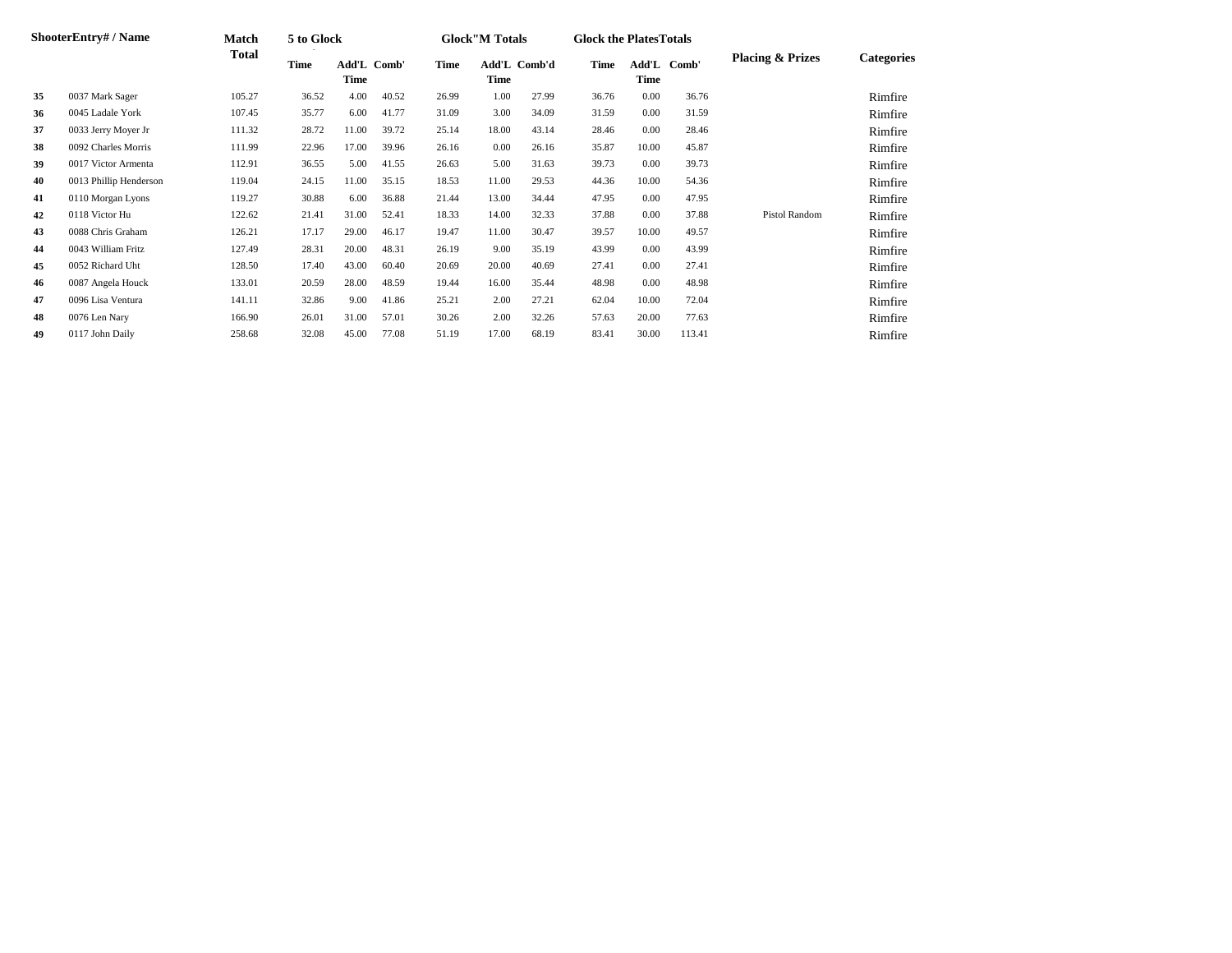|    | <b>ShooterEntry#/Name</b> | Match  | 5 to Glock |                     |       |       | <b>Glock</b> "M Totals |              | <b>Glock the Plates Totals</b> |               |        |                             |                   |
|----|---------------------------|--------|------------|---------------------|-------|-------|------------------------|--------------|--------------------------------|---------------|--------|-----------------------------|-------------------|
|    |                           | Total  | Time       | Add'L Comb'<br>Time |       | Time  | Time                   | Add'L Comb'd | Time                           | Add'L<br>Time | Comb'  | <b>Placing &amp; Prizes</b> | <b>Categories</b> |
| 35 | 0037 Mark Sager           | 105.27 | 36.52      | 4.00                | 40.52 | 26.99 | 1.00                   | 27.99        | 36.76                          | 0.00          | 36.76  |                             | Rimfire           |
| 36 | 0045 Ladale York          | 107.45 | 35.77      | 6.00                | 41.77 | 31.09 | 3.00                   | 34.09        | 31.59                          | 0.00          | 31.59  |                             | Rimfire           |
| 37 | 0033 Jerry Moyer Jr       | 111.32 | 28.72      | 11.00               | 39.72 | 25.14 | 18.00                  | 43.14        | 28.46                          | 0.00          | 28.46  |                             | Rimfire           |
| 38 | 0092 Charles Morris       | 111.99 | 22.96      | 17.00               | 39.96 | 26.16 | 0.00                   | 26.16        | 35.87                          | 10.00         | 45.87  |                             | Rimfire           |
| 39 | 0017 Victor Armenta       | 112.91 | 36.55      | 5.00                | 41.55 | 26.63 | 5.00                   | 31.63        | 39.73                          | 0.00          | 39.73  |                             | Rimfire           |
| 40 | 0013 Phillip Henderson    | 119.04 | 24.15      | 11.00               | 35.15 | 18.53 | 11.00                  | 29.53        | 44.36                          | 10.00         | 54.36  |                             | Rimfire           |
| 41 | 0110 Morgan Lyons         | 119.27 | 30.88      | 6.00                | 36.88 | 21.44 | 13.00                  | 34.44        | 47.95                          | 0.00          | 47.95  |                             | Rimfire           |
| 42 | 0118 Victor Hu            | 122.62 | 21.41      | 31.00               | 52.41 | 18.33 | 14.00                  | 32.33        | 37.88                          | 0.00          | 37.88  | <b>Pistol Random</b>        | Rimfire           |
| 43 | 0088 Chris Graham         | 126.21 | 17.17      | 29.00               | 46.17 | 19.47 | 11.00                  | 30.47        | 39.57                          | 10.00         | 49.57  |                             | Rimfire           |
| 44 | 0043 William Fritz        | 127.49 | 28.31      | 20.00               | 48.31 | 26.19 | 9.00                   | 35.19        | 43.99                          | 0.00          | 43.99  |                             | Rimfire           |
| 45 | 0052 Richard Uht          | 128.50 | 17.40      | 43.00               | 60.40 | 20.69 | 20.00                  | 40.69        | 27.41                          | 0.00          | 27.41  |                             | Rimfire           |
| 46 | 0087 Angela Houck         | 133.01 | 20.59      | 28.00               | 48.59 | 19.44 | 16.00                  | 35.44        | 48.98                          | 0.00          | 48.98  |                             | Rimfire           |
| 47 | 0096 Lisa Ventura         | 141.11 | 32.86      | 9.00                | 41.86 | 25.21 | 2.00                   | 27.21        | 62.04                          | 10.00         | 72.04  |                             | Rimfire           |
| 48 | 0076 Len Nary             | 166.90 | 26.01      | 31.00               | 57.01 | 30.26 | 2.00                   | 32.26        | 57.63                          | 20.00         | 77.63  |                             | Rimfire           |
| 49 | 0117 John Daily           | 258.68 | 32.08      | 45.00               | 77.08 | 51.19 | 17.00                  | 68.19        | 83.41                          | 30.00         | 113.41 |                             | Rimfire           |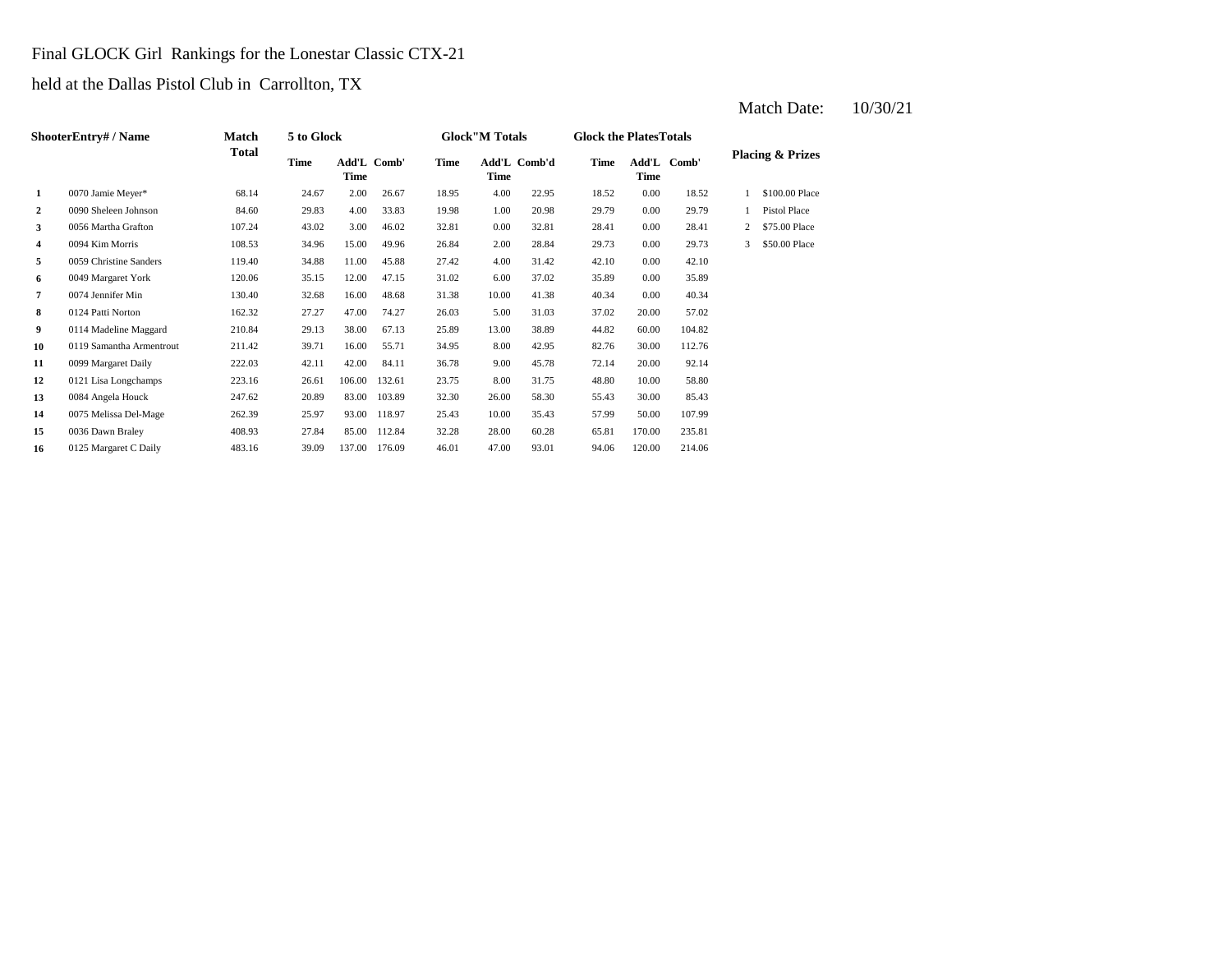#### Final GLOCK Girl Rankings for the Lonestar Classic CTX-21

held at the Dallas Pistol Club in Carrollton, TX

|              | ShooterEntry# / Name     | Match        | 5 to Glock |                     |        |       | <b>Glock</b> "M Totals |              | <b>Glock the PlatesTotals</b> |               |        |   |                             |
|--------------|--------------------------|--------------|------------|---------------------|--------|-------|------------------------|--------------|-------------------------------|---------------|--------|---|-----------------------------|
|              |                          | <b>Total</b> | Time       | Add'L Comb'<br>Time |        | Time  | <b>Time</b>            | Add'L Comb'd | Time                          | Add'L<br>Time | Comb'  |   | <b>Placing &amp; Prizes</b> |
| $\mathbf{1}$ | 0070 Jamie Meyer*        | 68.14        | 24.67      | 2.00                | 26.67  | 18.95 | 4.00                   | 22.95        | 18.52                         | 0.00          | 18.52  |   | \$100.00 Place              |
| 2            | 0090 Sheleen Johnson     | 84.60        | 29.83      | 4.00                | 33.83  | 19.98 | 1.00                   | 20.98        | 29.79                         | 0.00          | 29.79  |   | Pistol Place                |
| 3            | 0056 Martha Grafton      | 107.24       | 43.02      | 3.00                | 46.02  | 32.81 | 0.00                   | 32.81        | 28.41                         | 0.00          | 28.41  |   | \$75.00 Place               |
| 4            | 0094 Kim Morris          | 108.53       | 34.96      | 15.00               | 49.96  | 26.84 | 2.00                   | 28.84        | 29.73                         | 0.00          | 29.73  | 3 | \$50.00 Place               |
| 5            | 0059 Christine Sanders   | 119.40       | 34.88      | 11.00               | 45.88  | 27.42 | 4.00                   | 31.42        | 42.10                         | 0.00          | 42.10  |   |                             |
| 6            | 0049 Margaret York       | 120.06       | 35.15      | 12.00               | 47.15  | 31.02 | 6.00                   | 37.02        | 35.89                         | 0.00          | 35.89  |   |                             |
| 7            | 0074 Jennifer Min        | 130.40       | 32.68      | 16.00               | 48.68  | 31.38 | 10.00                  | 41.38        | 40.34                         | 0.00          | 40.34  |   |                             |
| 8            | 0124 Patti Norton        | 162.32       | 27.27      | 47.00               | 74.27  | 26.03 | 5.00                   | 31.03        | 37.02                         | 20.00         | 57.02  |   |                             |
| 9            | 0114 Madeline Maggard    | 210.84       | 29.13      | 38.00               | 67.13  | 25.89 | 13.00                  | 38.89        | 44.82                         | 60.00         | 104.82 |   |                             |
| 10           | 0119 Samantha Armentrout | 211.42       | 39.71      | 16.00               | 55.71  | 34.95 | 8.00                   | 42.95        | 82.76                         | 30.00         | 112.76 |   |                             |
| 11           | 0099 Margaret Daily      | 222.03       | 42.11      | 42.00               | 84.11  | 36.78 | 9.00                   | 45.78        | 72.14                         | 20.00         | 92.14  |   |                             |
| 12           | 0121 Lisa Longchamps     | 223.16       | 26.61      | 106.00              | 132.61 | 23.75 | 8.00                   | 31.75        | 48.80                         | 10.00         | 58.80  |   |                             |
| 13           | 0084 Angela Houck        | 247.62       | 20.89      | 83.00               | 103.89 | 32.30 | 26.00                  | 58.30        | 55.43                         | 30.00         | 85.43  |   |                             |
| 14           | 0075 Melissa Del-Mage    | 262.39       | 25.97      | 93.00               | 118.97 | 25.43 | 10.00                  | 35.43        | 57.99                         | 50.00         | 107.99 |   |                             |
| 15           | 0036 Dawn Braley         | 408.93       | 27.84      | 85.00               | 112.84 | 32.28 | 28.00                  | 60.28        | 65.81                         | 170.00        | 235.81 |   |                             |
| 16           | 0125 Margaret C Daily    | 483.16       | 39.09      | 137.00              | 176.09 | 46.01 | 47.00                  | 93.01        | 94.06                         | 120.00        | 214.06 |   |                             |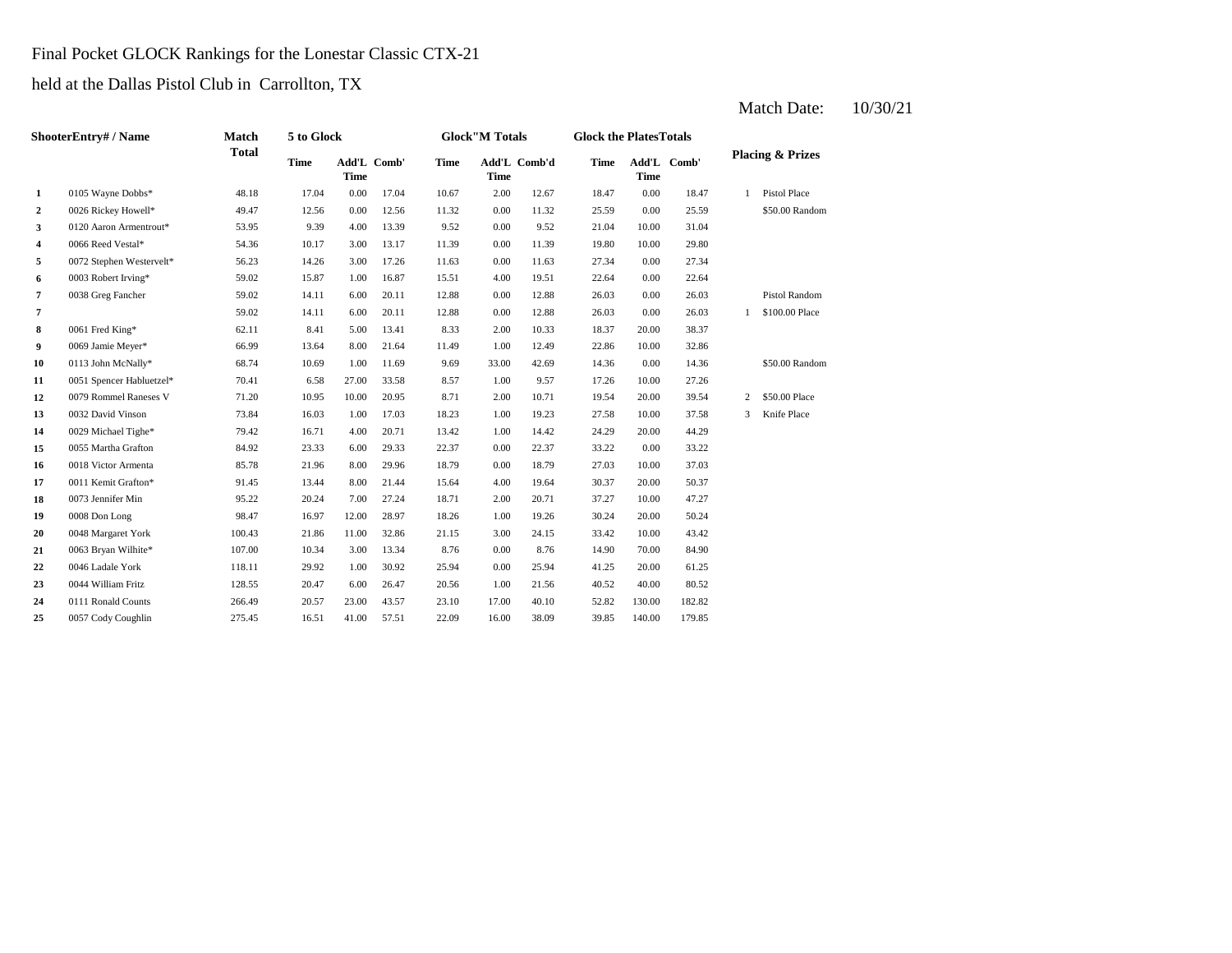#### Final Pocket GLOCK Rankings for the Lonestar Classic CTX-21

held at the Dallas Pistol Club in Carrollton, TX

| <b>ShooterEntry# / Name</b> |                          | Match        | 5 to Glock  |             |             |             | <b>Glock"M Totals</b> |              | <b>Glock the PlatesTotals</b> |             |             |   |                             |
|-----------------------------|--------------------------|--------------|-------------|-------------|-------------|-------------|-----------------------|--------------|-------------------------------|-------------|-------------|---|-----------------------------|
|                             |                          | <b>Total</b> | <b>Time</b> | <b>Time</b> | Add'L Comb' | <b>Time</b> | <b>Time</b>           | Add'L Comb'd | <b>Time</b>                   | <b>Time</b> | Add'L Comb' |   | <b>Placing &amp; Prizes</b> |
| $\mathbf{1}$                | 0105 Wayne Dobbs*        | 48.18        | 17.04       | 0.00        | 17.04       | 10.67       | 2.00                  | 12.67        | 18.47                         | 0.00        | 18.47       | 1 | <b>Pistol Place</b>         |
| $\overline{2}$              | 0026 Rickey Howell*      | 49.47        | 12.56       | 0.00        | 12.56       | 11.32       | 0.00                  | 11.32        | 25.59                         | 0.00        | 25.59       |   | \$50.00 Random              |
| 3                           | 0120 Aaron Armentrout*   | 53.95        | 9.39        | 4.00        | 13.39       | 9.52        | 0.00                  | 9.52         | 21.04                         | 10.00       | 31.04       |   |                             |
| 4                           | 0066 Reed Vestal*        | 54.36        | 10.17       | 3.00        | 13.17       | 11.39       | 0.00                  | 11.39        | 19.80                         | 10.00       | 29.80       |   |                             |
| 5                           | 0072 Stephen Westervelt* | 56.23        | 14.26       | 3.00        | 17.26       | 11.63       | 0.00                  | 11.63        | 27.34                         | 0.00        | 27.34       |   |                             |
| 6                           | 0003 Robert Irving*      | 59.02        | 15.87       | 1.00        | 16.87       | 15.51       | 4.00                  | 19.51        | 22.64                         | 0.00        | 22.64       |   |                             |
| $\overline{7}$              | 0038 Greg Fancher        | 59.02        | 14.11       | 6.00        | 20.11       | 12.88       | 0.00                  | 12.88        | 26.03                         | 0.00        | 26.03       |   | <b>Pistol Random</b>        |
| 7                           |                          | 59.02        | 14.11       | 6.00        | 20.11       | 12.88       | 0.00                  | 12.88        | 26.03                         | 0.00        | 26.03       | 1 | \$100.00 Place              |
| 8                           | 0061 Fred King*          | 62.11        | 8.41        | 5.00        | 13.41       | 8.33        | 2.00                  | 10.33        | 18.37                         | 20.00       | 38.37       |   |                             |
| 9                           | 0069 Jamie Meyer*        | 66.99        | 13.64       | 8.00        | 21.64       | 11.49       | 1.00                  | 12.49        | 22.86                         | 10.00       | 32.86       |   |                             |
| 10                          | 0113 John McNally*       | 68.74        | 10.69       | 1.00        | 11.69       | 9.69        | 33.00                 | 42.69        | 14.36                         | 0.00        | 14.36       |   | \$50.00 Random              |
| 11                          | 0051 Spencer Habluetzel* | 70.41        | 6.58        | 27.00       | 33.58       | 8.57        | 1.00                  | 9.57         | 17.26                         | 10.00       | 27.26       |   |                             |
| 12                          | 0079 Rommel Raneses V    | 71.20        | 10.95       | 10.00       | 20.95       | 8.71        | 2.00                  | 10.71        | 19.54                         | 20.00       | 39.54       | 2 | \$50.00 Place               |
| 13                          | 0032 David Vinson        | 73.84        | 16.03       | 1.00        | 17.03       | 18.23       | 1.00                  | 19.23        | 27.58                         | 10.00       | 37.58       | 3 | Knife Place                 |
| 14                          | 0029 Michael Tighe*      | 79.42        | 16.71       | 4.00        | 20.71       | 13.42       | 1.00                  | 14.42        | 24.29                         | 20.00       | 44.29       |   |                             |
| 15                          | 0055 Martha Grafton      | 84.92        | 23.33       | 6.00        | 29.33       | 22.37       | 0.00                  | 22.37        | 33.22                         | 0.00        | 33.22       |   |                             |
| 16                          | 0018 Victor Armenta      | 85.78        | 21.96       | 8.00        | 29.96       | 18.79       | 0.00                  | 18.79        | 27.03                         | 10.00       | 37.03       |   |                             |
| 17                          | 0011 Kemit Grafton*      | 91.45        | 13.44       | 8.00        | 21.44       | 15.64       | 4.00                  | 19.64        | 30.37                         | 20.00       | 50.37       |   |                             |
| 18                          | 0073 Jennifer Min        | 95.22        | 20.24       | 7.00        | 27.24       | 18.71       | 2.00                  | 20.71        | 37.27                         | 10.00       | 47.27       |   |                             |
| 19                          | 0008 Don Long            | 98.47        | 16.97       | 12.00       | 28.97       | 18.26       | 1.00                  | 19.26        | 30.24                         | 20.00       | 50.24       |   |                             |
| 20                          | 0048 Margaret York       | 100.43       | 21.86       | 11.00       | 32.86       | 21.15       | 3.00                  | 24.15        | 33.42                         | 10.00       | 43.42       |   |                             |
| 21                          | 0063 Bryan Wilhite*      | 107.00       | 10.34       | 3.00        | 13.34       | 8.76        | 0.00                  | 8.76         | 14.90                         | 70.00       | 84.90       |   |                             |
| 22                          | 0046 Ladale York         | 118.11       | 29.92       | 1.00        | 30.92       | 25.94       | 0.00                  | 25.94        | 41.25                         | 20.00       | 61.25       |   |                             |
| 23                          | 0044 William Fritz       | 128.55       | 20.47       | 6.00        | 26.47       | 20.56       | 1.00                  | 21.56        | 40.52                         | 40.00       | 80.52       |   |                             |
| 24                          | 0111 Ronald Counts       | 266.49       | 20.57       | 23.00       | 43.57       | 23.10       | 17.00                 | 40.10        | 52.82                         | 130.00      | 182.82      |   |                             |
| 25                          | 0057 Cody Coughlin       | 275.45       | 16.51       | 41.00       | 57.51       | 22.09       | 16.00                 | 38.09        | 39.85                         | 140.00      | 179.85      |   |                             |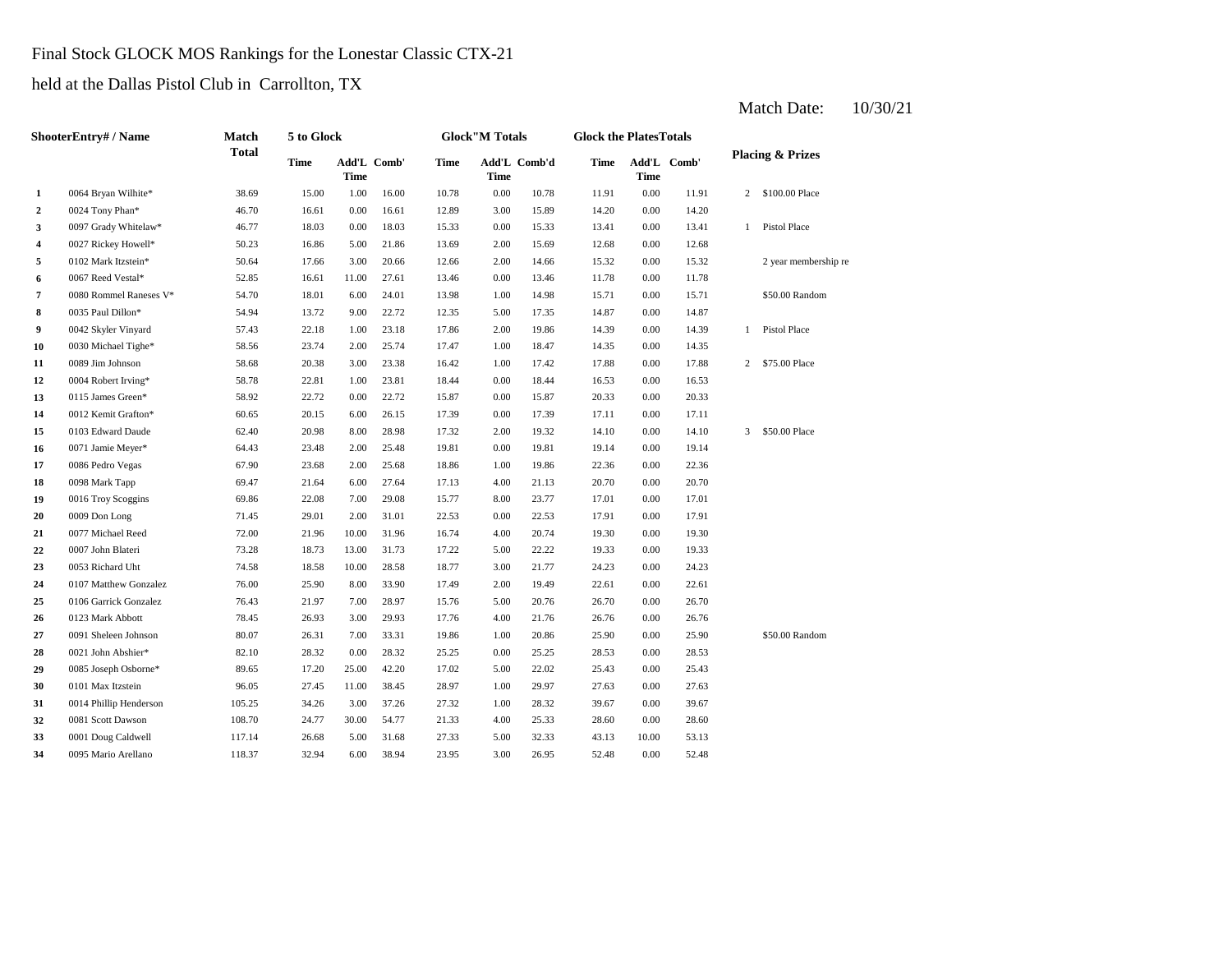#### Final Stock GLOCK MOS Rankings for the Lonestar Classic CTX-21

held at the Dallas Pistol Club in Carrollton, TX

| <b>ShooterEntry#/Name</b> |                        | Match        | 5 to Glock |                            |       | <b>Glock</b> "M Totals |             | <b>Glock the PlatesTotals</b> |       |             |             |                |                             |
|---------------------------|------------------------|--------------|------------|----------------------------|-------|------------------------|-------------|-------------------------------|-------|-------------|-------------|----------------|-----------------------------|
|                           |                        | <b>Total</b> | Time       | Add'L Comb'<br><b>Time</b> |       | <b>Time</b>            | <b>Time</b> | Add'L Comb'd                  | Time  | <b>Time</b> | Add'L Comb' |                | <b>Placing &amp; Prizes</b> |
| 1                         | 0064 Bryan Wilhite*    | 38.69        | 15.00      | 1.00                       | 16.00 | 10.78                  | 0.00        | 10.78                         | 11.91 | 0.00        | 11.91       | 2              | \$100.00 Place              |
| $\overline{2}$            | 0024 Tony Phan*        | 46.70        | 16.61      | 0.00                       | 16.61 | 12.89                  | 3.00        | 15.89                         | 14.20 | 0.00        | 14.20       |                |                             |
| 3                         | 0097 Grady Whitelaw*   | 46.77        | 18.03      | 0.00                       | 18.03 | 15.33                  | 0.00        | 15.33                         | 13.41 | 0.00        | 13.41       | $\mathbf{1}$   | Pistol Place                |
| 4                         | 0027 Rickey Howell*    | 50.23        | 16.86      | 5.00                       | 21.86 | 13.69                  | 2.00        | 15.69                         | 12.68 | 0.00        | 12.68       |                |                             |
| 5                         | 0102 Mark Itzstein*    | 50.64        | 17.66      | 3.00                       | 20.66 | 12.66                  | 2.00        | 14.66                         | 15.32 | 0.00        | 15.32       |                | 2 year membership re        |
| 6                         | 0067 Reed Vestal*      | 52.85        | 16.61      | 11.00                      | 27.61 | 13.46                  | 0.00        | 13.46                         | 11.78 | 0.00        | 11.78       |                |                             |
| 7                         | 0080 Rommel Raneses V* | 54.70        | 18.01      | 6.00                       | 24.01 | 13.98                  | 1.00        | 14.98                         | 15.71 | 0.00        | 15.71       |                | \$50.00 Random              |
| 8                         | 0035 Paul Dillon*      | 54.94        | 13.72      | 9.00                       | 22.72 | 12.35                  | 5.00        | 17.35                         | 14.87 | 0.00        | 14.87       |                |                             |
| 9                         | 0042 Skyler Vinyard    | 57.43        | 22.18      | 1.00                       | 23.18 | 17.86                  | 2.00        | 19.86                         | 14.39 | 0.00        | 14.39       | $\mathbf{1}$   | <b>Pistol Place</b>         |
| 10                        | 0030 Michael Tighe*    | 58.56        | 23.74      | 2.00                       | 25.74 | 17.47                  | 1.00        | 18.47                         | 14.35 | 0.00        | 14.35       |                |                             |
| 11                        | 0089 Jim Johnson       | 58.68        | 20.38      | 3.00                       | 23.38 | 16.42                  | 1.00        | 17.42                         | 17.88 | 0.00        | 17.88       | $\overline{2}$ | \$75.00 Place               |
| 12                        | 0004 Robert Irving*    | 58.78        | 22.81      | 1.00                       | 23.81 | 18.44                  | 0.00        | 18.44                         | 16.53 | 0.00        | 16.53       |                |                             |
| 13                        | 0115 James Green*      | 58.92        | 22.72      | 0.00                       | 22.72 | 15.87                  | 0.00        | 15.87                         | 20.33 | 0.00        | 20.33       |                |                             |
| 14                        | 0012 Kemit Grafton*    | 60.65        | 20.15      | 6.00                       | 26.15 | 17.39                  | 0.00        | 17.39                         | 17.11 | 0.00        | 17.11       |                |                             |
| 15                        | 0103 Edward Daude      | 62.40        | 20.98      | 8.00                       | 28.98 | 17.32                  | 2.00        | 19.32                         | 14.10 | 0.00        | 14.10       | 3              | \$50.00 Place               |
| 16                        | 0071 Jamie Meyer*      | 64.43        | 23.48      | 2.00                       | 25.48 | 19.81                  | 0.00        | 19.81                         | 19.14 | 0.00        | 19.14       |                |                             |
| 17                        | 0086 Pedro Vegas       | 67.90        | 23.68      | 2.00                       | 25.68 | 18.86                  | 1.00        | 19.86                         | 22.36 | 0.00        | 22.36       |                |                             |
| 18                        | 0098 Mark Tapp         | 69.47        | 21.64      | 6.00                       | 27.64 | 17.13                  | 4.00        | 21.13                         | 20.70 | 0.00        | 20.70       |                |                             |
| 19                        | 0016 Troy Scoggins     | 69.86        | 22.08      | 7.00                       | 29.08 | 15.77                  | 8.00        | 23.77                         | 17.01 | 0.00        | 17.01       |                |                             |
| 20                        | 0009 Don Long          | 71.45        | 29.01      | 2.00                       | 31.01 | 22.53                  | 0.00        | 22.53                         | 17.91 | 0.00        | 17.91       |                |                             |
| 21                        | 0077 Michael Reed      | 72.00        | 21.96      | 10.00                      | 31.96 | 16.74                  | 4.00        | 20.74                         | 19.30 | 0.00        | 19.30       |                |                             |
| 22                        | 0007 John Blateri      | 73.28        | 18.73      | 13.00                      | 31.73 | 17.22                  | 5.00        | 22.22                         | 19.33 | 0.00        | 19.33       |                |                             |
| 23                        | 0053 Richard Uht       | 74.58        | 18.58      | 10.00                      | 28.58 | 18.77                  | 3.00        | 21.77                         | 24.23 | 0.00        | 24.23       |                |                             |
| 24                        | 0107 Matthew Gonzalez  | 76.00        | 25.90      | 8.00                       | 33.90 | 17.49                  | 2.00        | 19.49                         | 22.61 | 0.00        | 22.61       |                |                             |
| 25                        | 0106 Garrick Gonzalez  | 76.43        | 21.97      | 7.00                       | 28.97 | 15.76                  | 5.00        | 20.76                         | 26.70 | 0.00        | 26.70       |                |                             |
| 26                        | 0123 Mark Abbott       | 78.45        | 26.93      | 3.00                       | 29.93 | 17.76                  | 4.00        | 21.76                         | 26.76 | 0.00        | 26.76       |                |                             |
| 27                        | 0091 Sheleen Johnson   | 80.07        | 26.31      | 7.00                       | 33.31 | 19.86                  | 1.00        | 20.86                         | 25.90 | 0.00        | 25.90       |                | \$50.00 Random              |
| 28                        | 0021 John Abshier*     | 82.10        | 28.32      | 0.00                       | 28.32 | 25.25                  | 0.00        | 25.25                         | 28.53 | 0.00        | 28.53       |                |                             |
| 29                        | 0085 Joseph Osborne*   | 89.65        | 17.20      | 25.00                      | 42.20 | 17.02                  | 5.00        | 22.02                         | 25.43 | 0.00        | 25.43       |                |                             |
| 30                        | 0101 Max Itzstein      | 96.05        | 27.45      | 11.00                      | 38.45 | 28.97                  | 1.00        | 29.97                         | 27.63 | 0.00        | 27.63       |                |                             |
| 31                        | 0014 Phillip Henderson | 105.25       | 34.26      | 3.00                       | 37.26 | 27.32                  | 1.00        | 28.32                         | 39.67 | 0.00        | 39.67       |                |                             |
| 32                        | 0081 Scott Dawson      | 108.70       | 24.77      | 30.00                      | 54.77 | 21.33                  | 4.00        | 25.33                         | 28.60 | 0.00        | 28.60       |                |                             |
| 33                        | 0001 Doug Caldwell     | 117.14       | 26.68      | 5.00                       | 31.68 | 27.33                  | 5.00        | 32.33                         | 43.13 | 10.00       | 53.13       |                |                             |
| 34                        | 0095 Mario Arellano    | 118.37       | 32.94      | 6.00                       | 38.94 | 23.95                  | 3.00        | 26.95                         | 52.48 | 0.00        | 52.48       |                |                             |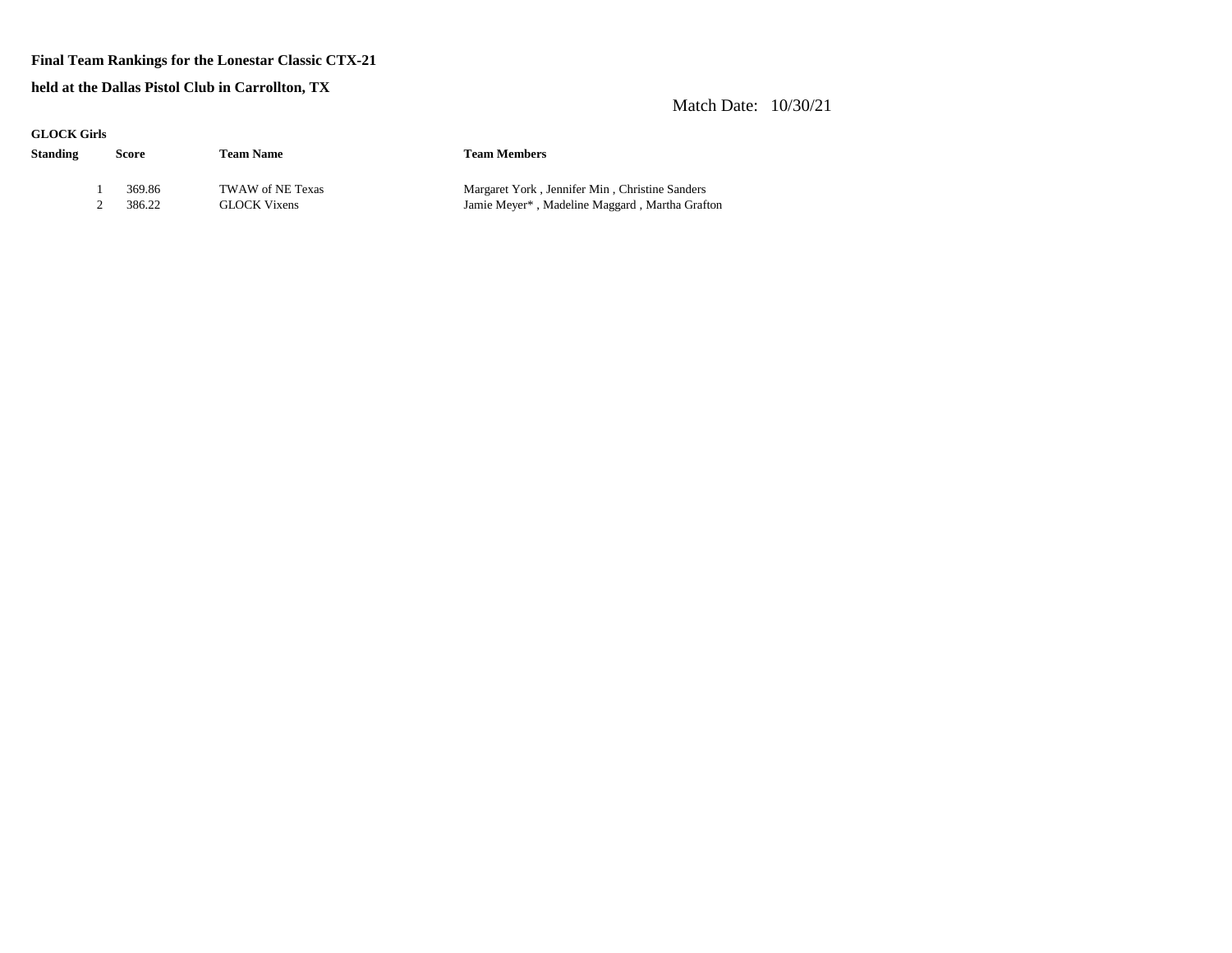#### **Final Team Rankings for the Lonestar Classic CTX-21**

**held at the Dallas Pistol Club in Carrollton, TX**

| anoch and |        |                     |                                                |
|-----------|--------|---------------------|------------------------------------------------|
| Standing  | Score  | <b>Team Name</b>    | <b>Team Members</b>                            |
|           | 369.86 | TWAW of NE Texas    | Margaret York, Jennifer Min, Christine Sanders |
|           | 386.22 | <b>GLOCK Vixens</b> | Jamie Meyer*, Madeline Maggard, Martha Grafton |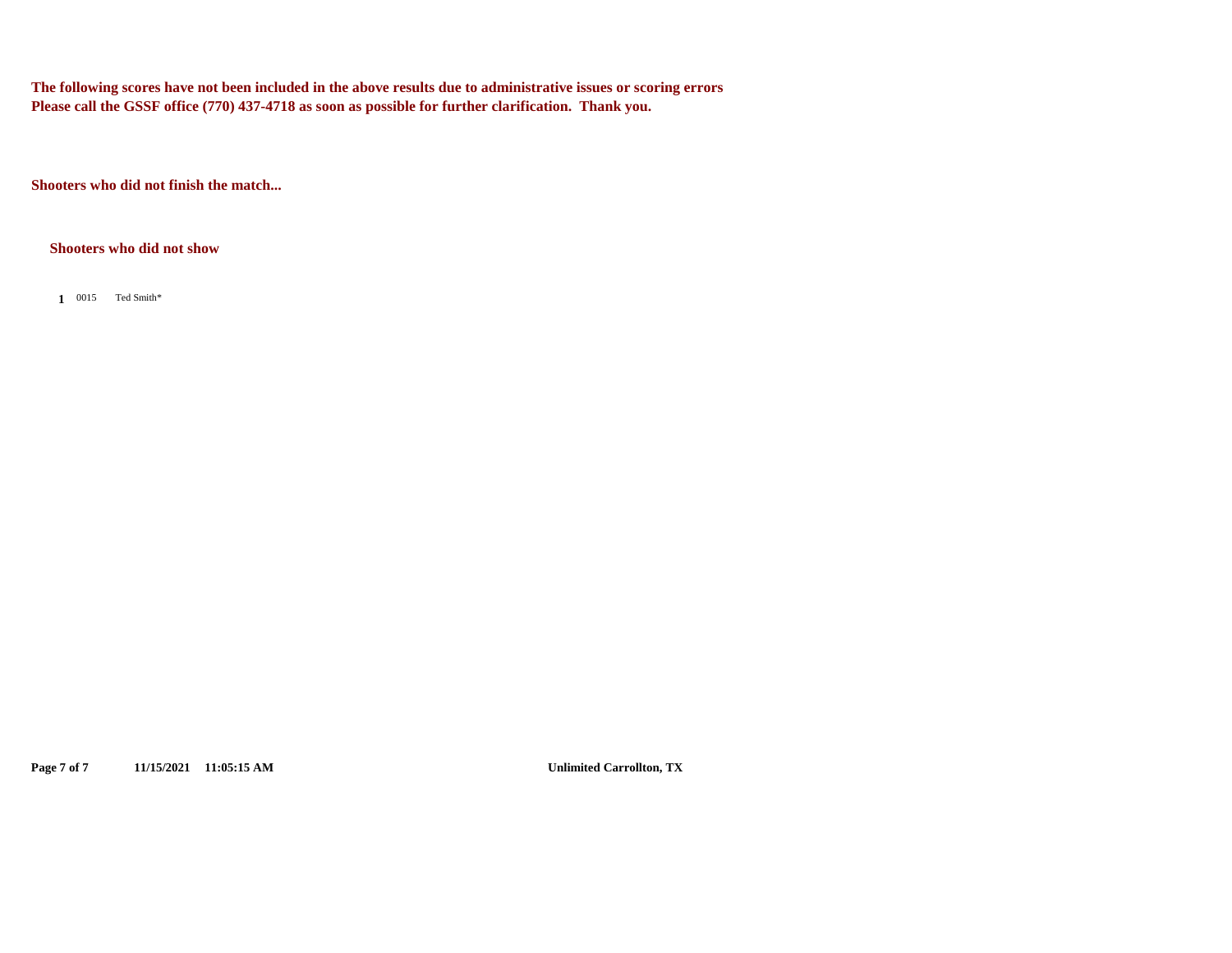**The following scores have not been included in the above results due to administrative issues or scoring errors Please call the GSSF office (770) 437-4718 as soon as possible for further clarification. Thank you.**

**Shooters who did not finish the match...**

#### **Shooters who did not show**

1 0015 Ted Smith\*

**Page 7 of 7 11/15/2021 11:05:15 AM Unlimited Carrollton, TX**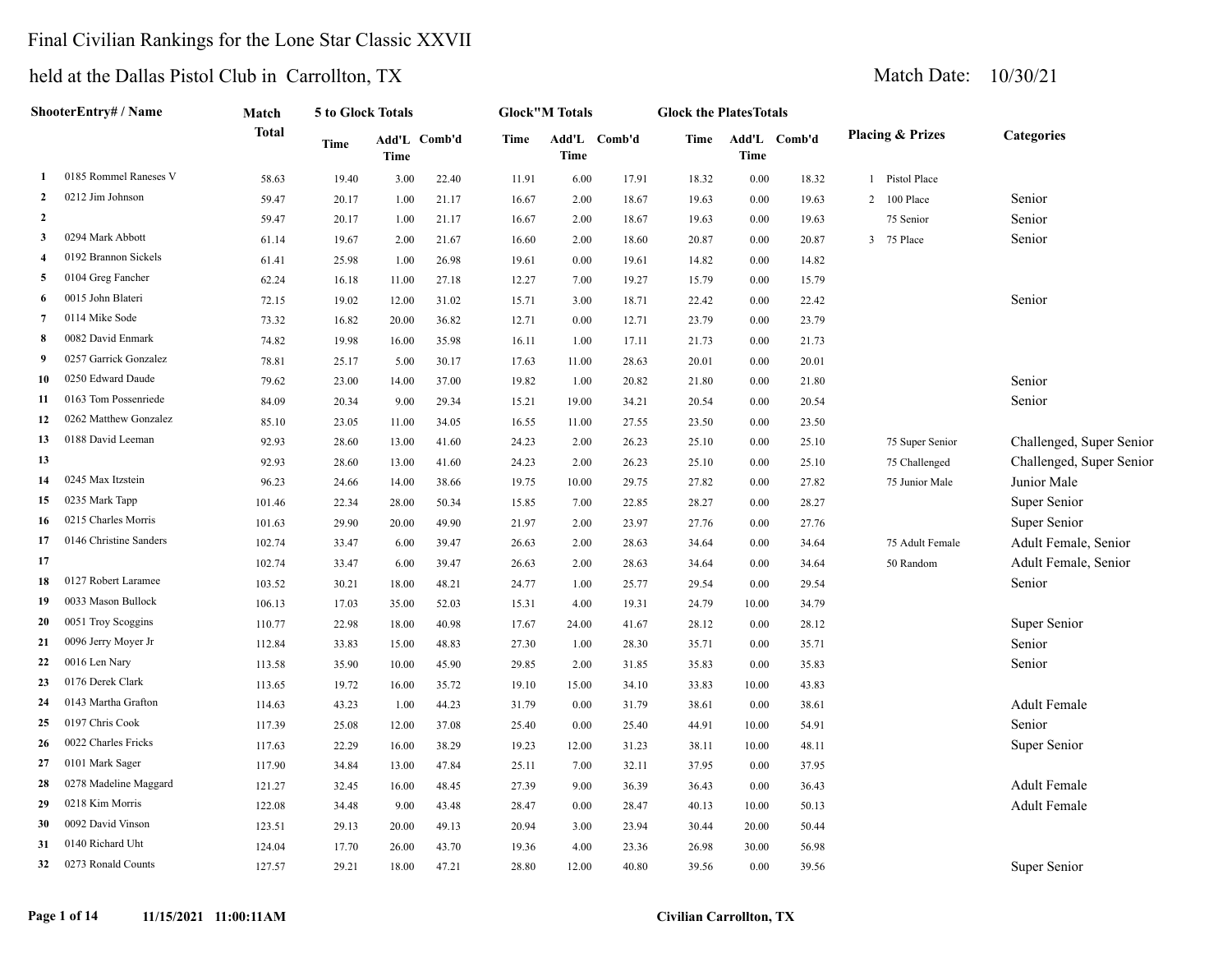#### Final Civilian Rankings for the Lone Star Classic XXVII

#### held at the Dallas Pistol Club in

**ShooterEntry# / Name**

|                |                       | eld at the Dallas Pistol Club in Carrollton, TX |                   |                      |       |       |                       |        |                               |               |        |   |                             |                   |  |  |
|----------------|-----------------------|-------------------------------------------------|-------------------|----------------------|-------|-------|-----------------------|--------|-------------------------------|---------------|--------|---|-----------------------------|-------------------|--|--|
|                | hooterEntry# / Name   | Match                                           | 5 to Glock Totals |                      |       |       | <b>Glock"M Totals</b> |        | <b>Glock the PlatesTotals</b> |               |        |   |                             |                   |  |  |
|                |                       | Total                                           | Time              | Add'L Comb'd<br>Time |       | Time  | Add'L<br>Time         | Comb'd | Time                          | Add'L<br>Time | Comb'd |   | <b>Placing &amp; Prizes</b> | <b>Categories</b> |  |  |
|                | 0185 Rommel Raneses V | 58.63                                           | 19.40             | 3.00                 | 22.40 | 11.91 | 6.00                  | 17.91  | 18.32                         | 0.00          | 18.32  |   | 1 Pistol Place              |                   |  |  |
| $\mathbf{2}$   | 0212 Jim Johnson      | 59.47                                           | 20.17             | 1.00                 | 21.17 | 16.67 | 2.00                  | 18.67  | 19.63                         | $0.00\,$      | 19.63  |   | 2 100 Place                 | Senior            |  |  |
| $\overline{2}$ |                       | 59.47                                           | 20.17             | 1.00                 | 21.17 | 16.67 | 2.00                  | 18.67  | 19.63                         | 0.00          | 19.63  |   | 75 Senior                   | Senior            |  |  |
| 3              | 0294 Mark Abbott      | 61.14                                           | 19.67             | 2.00                 | 21.67 | 16.60 | 2.00                  | 18.60  | 20.87                         | $0.00\,$      | 20.87  | 3 | 75 Place                    | Senior            |  |  |
| 4              | 0192 Brannon Sickels  | 61.41                                           | 25.98             | 1.00                 | 26.98 | 19.61 | 0.00                  | 19.61  | 14.82                         | $0.00\,$      | 14.82  |   |                             |                   |  |  |
|                | 5 0104 Greg Fancher   | 62.24                                           | 16.18             | 11.00                | 27.18 | 12.27 | 7.00                  | 19.27  | 15.79                         | $0.00\,$      | 15.79  |   |                             |                   |  |  |
|                | 6 0015 John Blateri   | 72.15                                           | 19.02             | 12.00                | 31.02 | 15.71 | 3.00                  | 18.71  | 22.42                         | $0.00\,$      | 22.42  |   |                             | Senior            |  |  |
| $\overline{7}$ | 0114 Mike Sode        | 73.32                                           | 16.82             | 20.00                | 36.82 | 12.71 | 0.00                  | 12.71  | 23.79                         | $0.00\,$      | 23.79  |   |                             |                   |  |  |
| 8              | 0082 David Enmark     | 74.82                                           | 19.98             | 16.00                | 35.98 | 16.11 | 1.00                  | 17.11  | 21.73                         | $0.00\,$      | 21.73  |   |                             |                   |  |  |
| 9              | 0257 Garrick Gonzalez | 78.81                                           | 25.17             | 5.00                 | 30.17 | 17.63 | 11.00                 | 28.63  | 20.01                         | 0.00          | 20.01  |   |                             |                   |  |  |
|                |                       |                                                 |                   |                      |       |       |                       |        |                               |               |        |   |                             |                   |  |  |

|    | 0114 Mike Sode         | 73.32  | 16.82 | 20.00 | 36.82 | 12.71 | 0.00  | 12.71 | 23.79 | 0.00  | 23.79 |                 |                          |
|----|------------------------|--------|-------|-------|-------|-------|-------|-------|-------|-------|-------|-----------------|--------------------------|
| 8  | 0082 David Enmark      | 74.82  | 19.98 | 16.00 | 35.98 | 16.11 | 1.00  | 17.11 | 21.73 | 0.00  | 21.73 |                 |                          |
| 9  | 0257 Garrick Gonzalez  | 78.81  | 25.17 | 5.00  | 30.17 | 17.63 | 11.00 | 28.63 | 20.01 | 0.00  | 20.01 |                 |                          |
| 10 | 0250 Edward Daude      | 79.62  | 23.00 | 14.00 | 37.00 | 19.82 | 1.00  | 20.82 | 21.80 | 0.00  | 21.80 |                 | Senior                   |
| 11 | 0163 Tom Possenriede   | 84.09  | 20.34 | 9.00  | 29.34 | 15.21 | 19.00 | 34.21 | 20.54 | 0.00  | 20.54 |                 | Senior                   |
| 12 | 0262 Matthew Gonzalez  | 85.10  | 23.05 | 11.00 | 34.05 | 16.55 | 11.00 | 27.55 | 23.50 | 0.00  | 23.50 |                 |                          |
| 13 | 0188 David Leeman      | 92.93  | 28.60 | 13.00 | 41.60 | 24.23 | 2.00  | 26.23 | 25.10 | 0.00  | 25.10 | 75 Super Senior | Challenged, Super Senior |
| 13 |                        | 92.93  | 28.60 | 13.00 | 41.60 | 24.23 | 2.00  | 26.23 | 25.10 | 0.00  | 25.10 | 75 Challenged   | Challenged, Super Senior |
| 14 | 0245 Max Itzstein      | 96.23  | 24.66 | 14.00 | 38.66 | 19.75 | 10.00 | 29.75 | 27.82 | 0.00  | 27.82 | 75 Junior Male  | Junior Male              |
| 15 | 0235 Mark Tapp         | 101.46 | 22.34 | 28.00 | 50.34 | 15.85 | 7.00  | 22.85 | 28.27 | 0.00  | 28.27 |                 | Super Senior             |
| 16 | 0215 Charles Morris    | 101.63 | 29.90 | 20.00 | 49.90 | 21.97 | 2.00  | 23.97 | 27.76 | 0.00  | 27.76 |                 | Super Senior             |
| 17 | 0146 Christine Sanders | 102.74 | 33.47 | 6.00  | 39.47 | 26.63 | 2.00  | 28.63 | 34.64 | 0.00  | 34.64 | 75 Adult Female | Adult Female, Senior     |
| 17 |                        | 102.74 | 33.47 | 6.00  | 39.47 | 26.63 | 2.00  | 28.63 | 34.64 | 0.00  | 34.64 | 50 Random       | Adult Female, Senior     |
| 18 | 0127 Robert Laramee    | 103.52 | 30.21 | 18.00 | 48.21 | 24.77 | 1.00  | 25.77 | 29.54 | 0.00  | 29.54 |                 | Senior                   |
| 19 | 0033 Mason Bullock     | 106.13 | 17.03 | 35.00 | 52.03 | 15.31 | 4.00  | 19.31 | 24.79 | 10.00 | 34.79 |                 |                          |
| 20 | 0051 Troy Scoggins     | 110.77 | 22.98 | 18.00 | 40.98 | 17.67 | 24.00 | 41.67 | 28.12 | 0.00  | 28.12 |                 | Super Senior             |
| 21 | 0096 Jerry Moyer Jr    | 112.84 | 33.83 | 15.00 | 48.83 | 27.30 | 1.00  | 28.30 | 35.71 | 0.00  | 35.71 |                 | Senior                   |
| 22 | 0016 Len Nary          | 113.58 | 35.90 | 10.00 | 45.90 | 29.85 | 2.00  | 31.85 | 35.83 | 0.00  | 35.83 |                 | Senior                   |
| 23 | 0176 Derek Clark       | 113.65 | 19.72 | 16.00 | 35.72 | 19.10 | 15.00 | 34.10 | 33.83 | 10.00 | 43.83 |                 |                          |
| 24 | 0143 Martha Grafton    | 114.63 | 43.23 | 1.00  | 44.23 | 31.79 | 0.00  | 31.79 | 38.61 | 0.00  | 38.61 |                 | <b>Adult Female</b>      |
| 25 | 0197 Chris Cook        | 117.39 | 25.08 | 12.00 | 37.08 | 25.40 | 0.00  | 25.40 | 44.91 | 10.00 | 54.91 |                 | Senior                   |
| 26 | 0022 Charles Fricks    | 117.63 | 22.29 | 16.00 | 38.29 | 19.23 | 12.00 | 31.23 | 38.11 | 10.00 | 48.11 |                 | Super Senior             |

 0278 Madeline Maggard 121.27 32.45 16.00 48.45 27.39 9.00 36.39 36.43 0.00 36.43 Adult Female 0218 Kim Morris 122.08 34.48 9.00 43.48 28.47 0.00 28.47 40.13 10.00 50.13 Adult Female

0273 Ronald Counts 127.57 29.21 18.00 47.21 28.80 12.00 40.80 39.56 0.00 39.56 Super Senior

0101 Mark Sager 117.90 34.84 13.00 47.84 25.11 7.00 32.11 37.95 0.00 37.95

 0092 David Vinson 123.51 29.13 20.00 49.13 20.94 3.00 23.94 30.44 20.00 50.44 0140 Richard Uht 124.04 17.70 26.00 43.70 19.36 4.00 23.36 26.98 30.00 56.98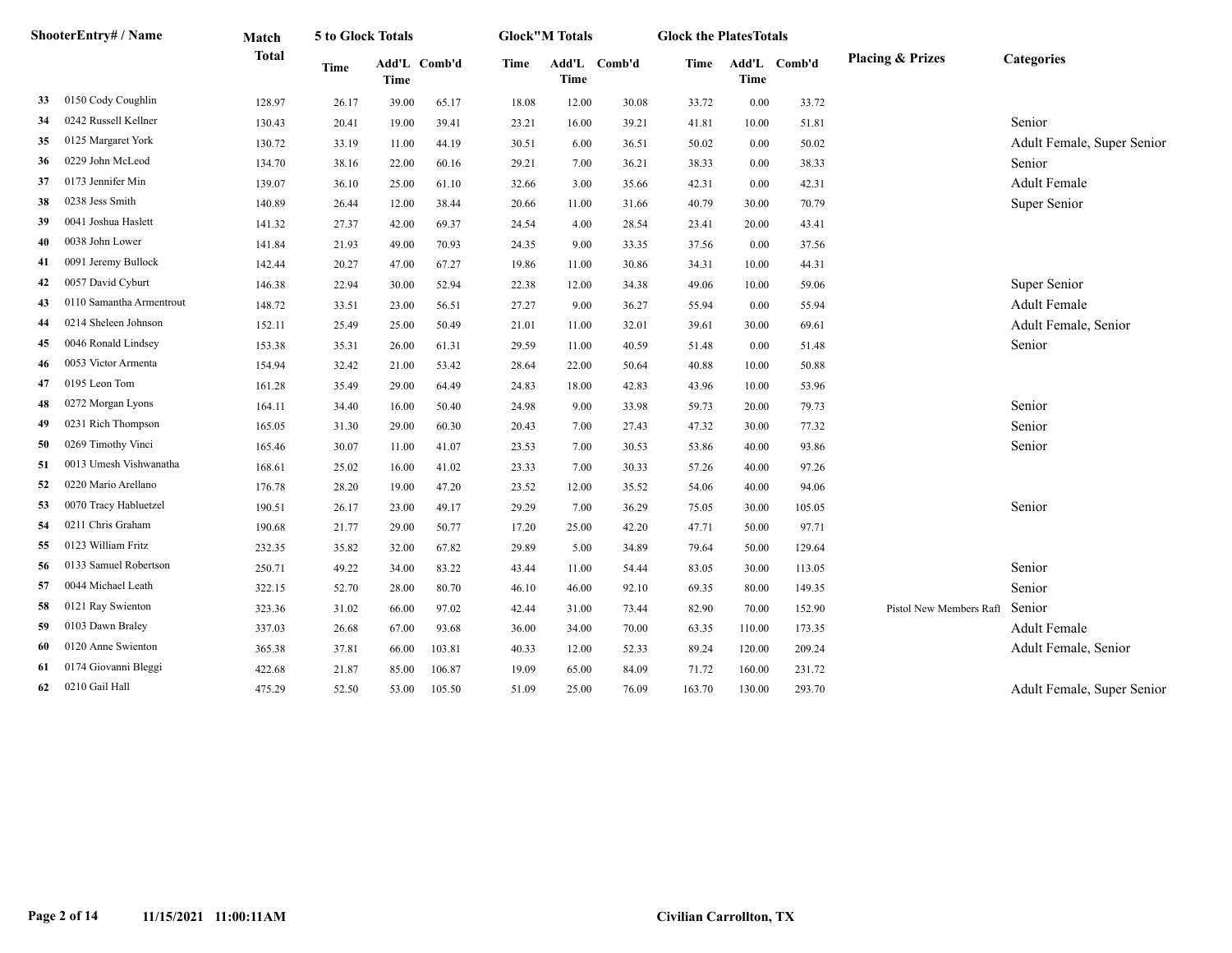|     | ShooterEntry# / Name     | Match        | 5 to Glock Totals |               |        |       | <b>Glock</b> "M Totals |              | <b>Glock the PlatesTotals</b> |             |              |                             |                            |
|-----|--------------------------|--------------|-------------------|---------------|--------|-------|------------------------|--------------|-------------------------------|-------------|--------------|-----------------------------|----------------------------|
|     |                          | <b>Total</b> | Time              | Add'L<br>Time | Comb'd | Time  | <b>Time</b>            | Add'L Comb'd | Time                          | <b>Time</b> | Add'L Comb'd | <b>Placing &amp; Prizes</b> | Categories                 |
| 33  | 0150 Cody Coughlin       | 128.97       | 26.17             | 39.00         | 65.17  | 18.08 | 12.00                  | 30.08        | 33.72                         | 0.00        | 33.72        |                             |                            |
| 34  | 0242 Russell Kellner     | 130.43       | 20.41             | 19.00         | 39.41  | 23.21 | 16.00                  | 39.21        | 41.81                         | 10.00       | 51.81        |                             | Senior                     |
| 35  | 0125 Margaret York       | 130.72       | 33.19             | 11.00         | 44.19  | 30.51 | 6.00                   | 36.51        | 50.02                         | 0.00        | 50.02        |                             | Adult Female, Super Senior |
| 36  | 0229 John McLeod         | 134.70       | 38.16             | 22.00         | 60.16  | 29.21 | 7.00                   | 36.21        | 38.33                         | 0.00        | 38.33        |                             | Senior                     |
| 37  | 0173 Jennifer Min        | 139.07       | 36.10             | 25.00         | 61.10  | 32.66 | 3.00                   | 35.66        | 42.31                         | 0.00        | 42.31        |                             | <b>Adult Female</b>        |
| 38  | 0238 Jess Smith          | 140.89       | 26.44             | 12.00         | 38.44  | 20.66 | 11.00                  | 31.66        | 40.79                         | 30.00       | 70.79        |                             | Super Senior               |
| 39  | 0041 Joshua Haslett      | 141.32       | 27.37             | 42.00         | 69.37  | 24.54 | 4.00                   | 28.54        | 23.41                         | 20.00       | 43.41        |                             |                            |
| 40  | 0038 John Lower          | 141.84       | 21.93             | 49.00         | 70.93  | 24.35 | 9.00                   | 33.35        | 37.56                         | 0.00        | 37.56        |                             |                            |
| 41  | 0091 Jeremy Bullock      | 142.44       | 20.27             | 47.00         | 67.27  | 19.86 | 11.00                  | 30.86        | 34.31                         | 10.00       | 44.31        |                             |                            |
| 42  | 0057 David Cyburt        | 146.38       | 22.94             | 30.00         | 52.94  | 22.38 | 12.00                  | 34.38        | 49.06                         | 10.00       | 59.06        |                             | Super Senior               |
| 43  | 0110 Samantha Armentrout | 148.72       | 33.51             | 23.00         | 56.51  | 27.27 | 9.00                   | 36.27        | 55.94                         | 0.00        | 55.94        |                             | <b>Adult Female</b>        |
| 44  | 0214 Sheleen Johnson     | 152.11       | 25.49             | 25.00         | 50.49  | 21.01 | 11.00                  | 32.01        | 39.61                         | 30.00       | 69.61        |                             | Adult Female, Senior       |
| 45  | 0046 Ronald Lindsey      | 153.38       | 35.31             | 26.00         | 61.31  | 29.59 | 11.00                  | 40.59        | 51.48                         | 0.00        | 51.48        |                             | Senior                     |
| 46  | 0053 Victor Armenta      | 154.94       | 32.42             | 21.00         | 53.42  | 28.64 | 22.00                  | 50.64        | 40.88                         | 10.00       | 50.88        |                             |                            |
| 47  | 0195 Leon Tom            | 161.28       | 35.49             | 29.00         | 64.49  | 24.83 | 18.00                  | 42.83        | 43.96                         | 10.00       | 53.96        |                             |                            |
| 48  | 0272 Morgan Lyons        | 164.11       | 34.40             | 16.00         | 50.40  | 24.98 | 9.00                   | 33.98        | 59.73                         | 20.00       | 79.73        |                             | Senior                     |
| 49  | 0231 Rich Thompson       | 165.05       | 31.30             | 29.00         | 60.30  | 20.43 | 7.00                   | 27.43        | 47.32                         | 30.00       | 77.32        |                             | Senior                     |
| 50  | 0269 Timothy Vinci       | 165.46       | 30.07             | 11.00         | 41.07  | 23.53 | 7.00                   | 30.53        | 53.86                         | 40.00       | 93.86        |                             | Senior                     |
| 51  | 0013 Umesh Vishwanatha   | 168.61       | 25.02             | 16.00         | 41.02  | 23.33 | 7.00                   | 30.33        | 57.26                         | 40.00       | 97.26        |                             |                            |
| 52  | 0220 Mario Arellano      | 176.78       | 28.20             | 19.00         | 47.20  | 23.52 | 12.00                  | 35.52        | 54.06                         | 40.00       | 94.06        |                             |                            |
| 53  | 0070 Tracy Habluetzel    | 190.51       | 26.17             | 23.00         | 49.17  | 29.29 | 7.00                   | 36.29        | 75.05                         | 30.00       | 105.05       |                             | Senior                     |
| 54  | 0211 Chris Graham        | 190.68       | 21.77             | 29.00         | 50.77  | 17.20 | 25.00                  | 42.20        | 47.71                         | 50.00       | 97.71        |                             |                            |
| 55  | 0123 William Fritz       | 232.35       | 35.82             | 32.00         | 67.82  | 29.89 | 5.00                   | 34.89        | 79.64                         | 50.00       | 129.64       |                             |                            |
| 56  | 0133 Samuel Robertson    | 250.71       | 49.22             | 34.00         | 83.22  | 43.44 | 11.00                  | 54.44        | 83.05                         | 30.00       | 113.05       |                             | Senior                     |
| 57  | 0044 Michael Leath       | 322.15       | 52.70             | 28.00         | 80.70  | 46.10 | 46.00                  | 92.10        | 69.35                         | 80.00       | 149.35       |                             | Senior                     |
| 58  | 0121 Ray Swienton        | 323.36       | 31.02             | 66.00         | 97.02  | 42.44 | 31.00                  | 73.44        | 82.90                         | 70.00       | 152.90       | Pistol New Members Raft     | Senior                     |
| 59  | 0103 Dawn Braley         | 337.03       | 26.68             | 67.00         | 93.68  | 36.00 | 34.00                  | 70.00        | 63.35                         | 110.00      | 173.35       |                             | <b>Adult Female</b>        |
| 60  | 0120 Anne Swienton       | 365.38       | 37.81             | 66.00         | 103.81 | 40.33 | 12.00                  | 52.33        | 89.24                         | 120.00      | 209.24       |                             | Adult Female, Senior       |
| -61 | 0174 Giovanni Bleggi     | 422.68       | 21.87             | 85.00         | 106.87 | 19.09 | 65.00                  | 84.09        | 71.72                         | 160.00      | 231.72       |                             |                            |
| 62  | 0210 Gail Hall           | 475.29       | 52.50             | 53.00         | 105.50 | 51.09 | 25.00                  | 76.09        | 163.70                        | 130.00      | 293.70       |                             | Adult Female, Super Senior |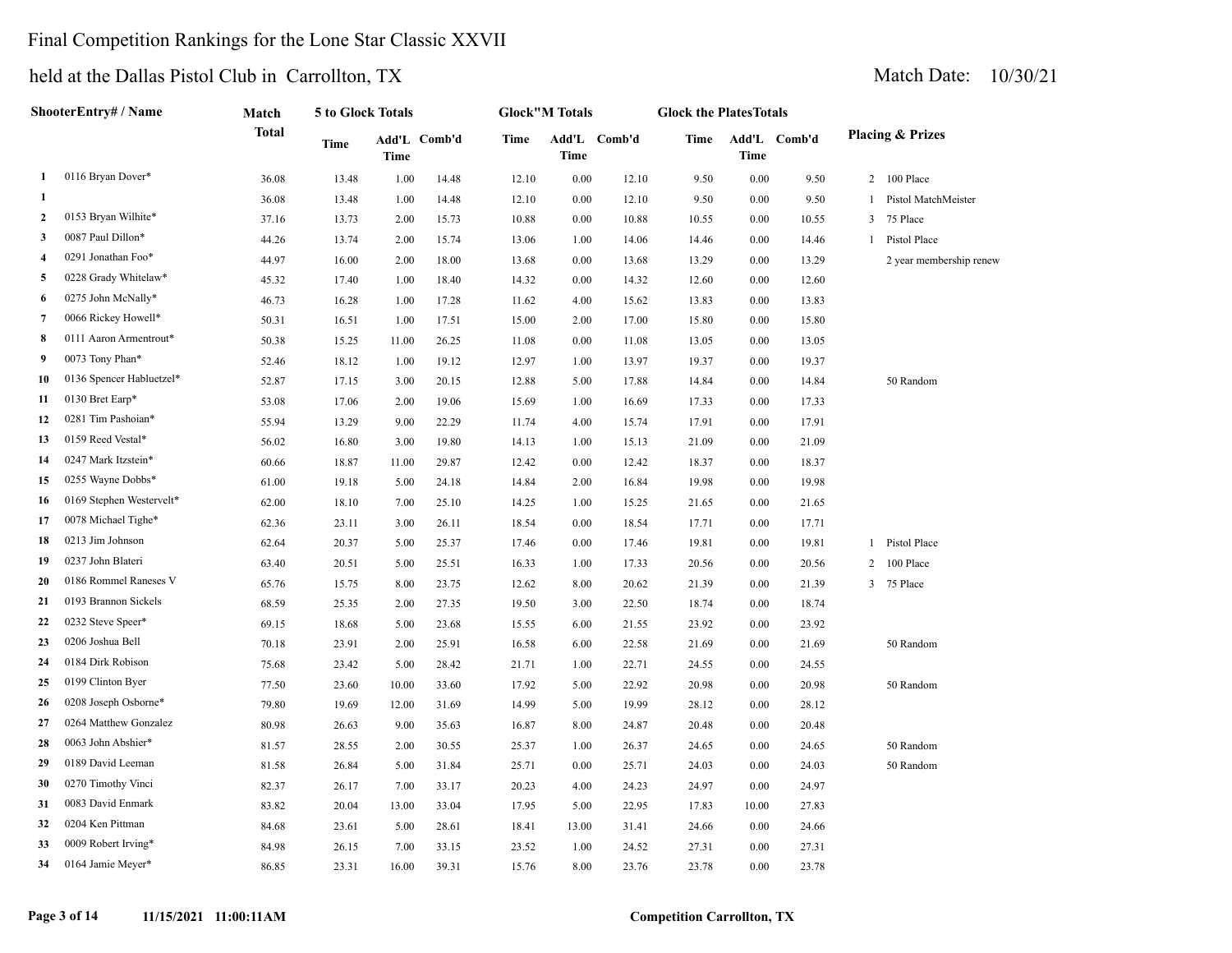## Final Competition Rankings for the Lone Star Classic XXVII

|                | ShooterEntry# / Name     | Match | 5 to Glock Totals |              |       |             | <b>Glock</b> "M Totals |       | <b>Glock the PlatesTotals</b> |              |                             |                         |
|----------------|--------------------------|-------|-------------------|--------------|-------|-------------|------------------------|-------|-------------------------------|--------------|-----------------------------|-------------------------|
|                | <b>Total</b>             | Time  | <b>Time</b>       | Add'L Comb'd | Time  | <b>Time</b> | Add'L Comb'd           | Time  | Time                          | Add'L Comb'd | <b>Placing &amp; Prizes</b> |                         |
| 1              | 0116 Bryan Dover*        | 36.08 | 13.48             | 1.00         | 14.48 | 12.10       | 0.00                   | 12.10 | 9.50                          | 0.00         | 9.50                        | 2 100 Place             |
| -1             |                          | 36.08 | 13.48             | 1.00         | 14.48 | 12.10       | 0.00                   | 12.10 | 9.50                          | 0.00         | 9.50                        | 1 Pistol MatchMeister   |
| $\overline{2}$ | 0153 Bryan Wilhite*      | 37.16 | 13.73             | 2.00         | 15.73 | 10.88       | 0.00                   | 10.88 | 10.55                         | 0.00         | 10.55                       | 3 75 Place              |
| 3              | 0087 Paul Dillon*        | 44.26 | 13.74             | 2.00         | 15.74 | 13.06       | 1.00                   | 14.06 | 14.46                         | 0.00         | 14.46                       | 1 Pistol Place          |
| 4              | 0291 Jonathan Foo*       | 44.97 | 16.00             | 2.00         | 18.00 | 13.68       | 0.00                   | 13.68 | 13.29                         | 0.00         | 13.29                       | 2 year membership renew |
| 5              | 0228 Grady Whitelaw*     | 45.32 | 17.40             | 1.00         | 18.40 | 14.32       | 0.00                   | 14.32 | 12.60                         | 0.00         | 12.60                       |                         |
| 6              | 0275 John McNally*       | 46.73 | 16.28             | 1.00         | 17.28 | 11.62       | 4.00                   | 15.62 | 13.83                         | 0.00         | 13.83                       |                         |
| 7              | 0066 Rickey Howell*      | 50.31 | 16.51             | 1.00         | 17.51 | 15.00       | 2.00                   | 17.00 | 15.80                         | 0.00         | 15.80                       |                         |
| 8              | 0111 Aaron Armentrout*   | 50.38 | 15.25             | 11.00        | 26.25 | 11.08       | 0.00                   | 11.08 | 13.05                         | 0.00         | 13.05                       |                         |
| 9              | 0073 Tony Phan*          | 52.46 | 18.12             | 1.00         | 19.12 | 12.97       | 1.00                   | 13.97 | 19.37                         | 0.00         | 19.37                       |                         |
| 10             | 0136 Spencer Habluetzel* | 52.87 | 17.15             | 3.00         | 20.15 | 12.88       | 5.00                   | 17.88 | 14.84                         | 0.00         | 14.84                       | 50 Random               |
| 11             | 0130 Bret Earp*          | 53.08 | 17.06             | 2.00         | 19.06 | 15.69       | 1.00                   | 16.69 | 17.33                         | 0.00         | 17.33                       |                         |
| 12             | 0281 Tim Pashoian*       | 55.94 | 13.29             | 9.00         | 22.29 | 11.74       | 4.00                   | 15.74 | 17.91                         | 0.00         | 17.91                       |                         |
| 13             | 0159 Reed Vestal*        | 56.02 | 16.80             | 3.00         | 19.80 | 14.13       | 1.00                   | 15.13 | 21.09                         | 0.00         | 21.09                       |                         |
| 14             | 0247 Mark Itzstein*      | 60.66 | 18.87             | 11.00        | 29.87 | 12.42       | 0.00                   | 12.42 | 18.37                         | 0.00         | 18.37                       |                         |
| 15             | 0255 Wayne Dobbs*        | 61.00 | 19.18             | 5.00         | 24.18 | 14.84       | 2.00                   | 16.84 | 19.98                         | 0.00         | 19.98                       |                         |
| 16             | 0169 Stephen Westervelt* | 62.00 | 18.10             | 7.00         | 25.10 | 14.25       | 1.00                   | 15.25 | 21.65                         | 0.00         | 21.65                       |                         |
| 17             | 0078 Michael Tighe*      | 62.36 | 23.11             | 3.00         | 26.11 | 18.54       | 0.00                   | 18.54 | 17.71                         | 0.00         | 17.71                       |                         |
| 18             | 0213 Jim Johnson         | 62.64 | 20.37             | 5.00         | 25.37 | 17.46       | 0.00                   | 17.46 | 19.81                         | 0.00         | 19.81                       | 1 Pistol Place          |
| 19             | 0237 John Blateri        | 63.40 | 20.51             | 5.00         | 25.51 | 16.33       | 1.00                   | 17.33 | 20.56                         | 0.00         | 20.56                       | 100 Place<br>2          |
| 20             | 0186 Rommel Raneses V    | 65.76 | 15.75             | 8.00         | 23.75 | 12.62       | 8.00                   | 20.62 | 21.39                         | 0.00         | 21.39                       | 3 75 Place              |
| 21             | 0193 Brannon Sickels     | 68.59 | 25.35             | 2.00         | 27.35 | 19.50       | 3.00                   | 22.50 | 18.74                         | 0.00         | 18.74                       |                         |
| 22             | 0232 Steve Speer*        | 69.15 | 18.68             | 5.00         | 23.68 | 15.55       | 6.00                   | 21.55 | 23.92                         | 0.00         | 23.92                       |                         |
| 23             | 0206 Joshua Bell         | 70.18 | 23.91             | 2.00         | 25.91 | 16.58       | 6.00                   | 22.58 | 21.69                         | 0.00         | 21.69                       | 50 Random               |
| 24             | 0184 Dirk Robison        | 75.68 | 23.42             | 5.00         | 28.42 | 21.71       | 1.00                   | 22.71 | 24.55                         | 0.00         | 24.55                       |                         |
| 25             | 0199 Clinton Byer        | 77.50 | 23.60             | 10.00        | 33.60 | 17.92       | 5.00                   | 22.92 | 20.98                         | 0.00         | 20.98                       | 50 Random               |
| 26             | 0208 Joseph Osborne*     | 79.80 | 19.69             | 12.00        | 31.69 | 14.99       | 5.00                   | 19.99 | 28.12                         | $0.00\,$     | 28.12                       |                         |
| 27             | 0264 Matthew Gonzalez    | 80.98 | 26.63             | 9.00         | 35.63 | 16.87       | 8.00                   | 24.87 | 20.48                         | 0.00         | 20.48                       |                         |
| 28             | 0063 John Abshier*       | 81.57 | 28.55             | 2.00         | 30.55 | 25.37       | 1.00                   | 26.37 | 24.65                         | 0.00         | 24.65                       | 50 Random               |
| 29             | 0189 David Leeman        | 81.58 | 26.84             | 5.00         | 31.84 | 25.71       | 0.00                   | 25.71 | 24.03                         | 0.00         | 24.03                       | 50 Random               |
| 30             | 0270 Timothy Vinci       | 82.37 | 26.17             | 7.00         | 33.17 | 20.23       | 4.00                   | 24.23 | 24.97                         | 0.00         | 24.97                       |                         |
| 31             | 0083 David Enmark        | 83.82 | 20.04             | 13.00        | 33.04 | 17.95       | 5.00                   | 22.95 | 17.83                         | 10.00        | 27.83                       |                         |
| 32             | 0204 Ken Pittman         | 84.68 | 23.61             | 5.00         | 28.61 | 18.41       | 13.00                  | 31.41 | 24.66                         | 0.00         | 24.66                       |                         |
| 33             | 0009 Robert Irving*      | 84.98 | 26.15             | 7.00         | 33.15 | 23.52       | 1.00                   | 24.52 | 27.31                         | 0.00         | 27.31                       |                         |
| 34             | 0164 Jamie Meyer*        | 86.85 | 23.31             | 16.00        | 39.31 | 15.76       | 8.00                   | 23.76 | 23.78                         | 0.00         | 23.78                       |                         |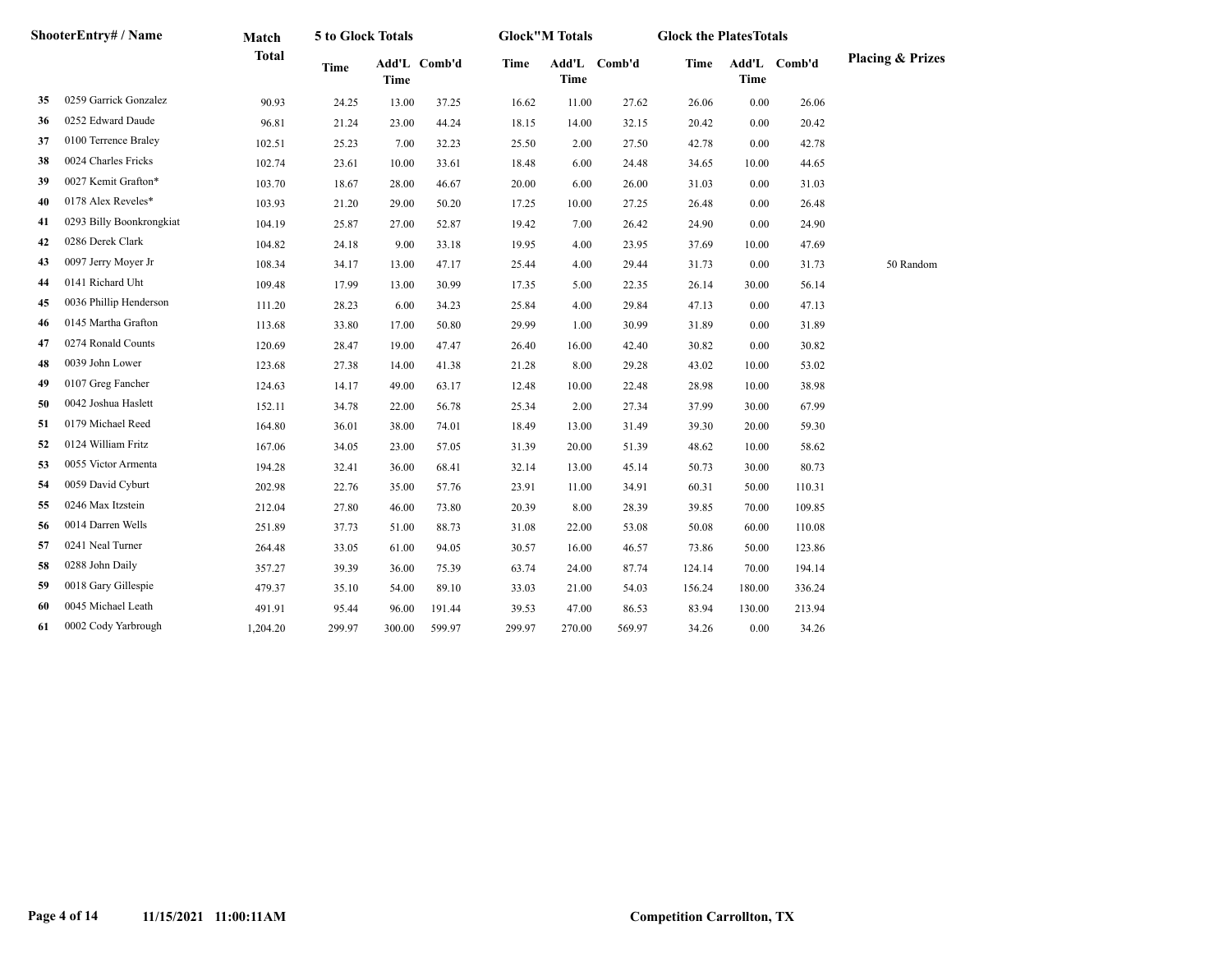| ShooterEntry# / Name |                          | Match        | 5 to Glock Totals |             |              |             | <b>Glock"M Totals</b> |              | <b>Glock the PlatesTotals</b> |             |              |                             |
|----------------------|--------------------------|--------------|-------------------|-------------|--------------|-------------|-----------------------|--------------|-------------------------------|-------------|--------------|-----------------------------|
|                      |                          | <b>Total</b> | <b>Time</b>       | <b>Time</b> | Add'L Comb'd | <b>Time</b> | <b>Time</b>           | Add'L Comb'd | <b>Time</b>                   | <b>Time</b> | Add'L Comb'd | <b>Placing &amp; Prizes</b> |
| 35                   | 0259 Garrick Gonzalez    | 90.93        | 24.25             | 13.00       | 37.25        | 16.62       | 11.00                 | 27.62        | 26.06                         | 0.00        | 26.06        |                             |
| 36                   | 0252 Edward Daude        | 96.81        | 21.24             | 23.00       | 44.24        | 18.15       | 14.00                 | 32.15        | 20.42                         | 0.00        | 20.42        |                             |
| 37                   | 0100 Terrence Braley     | 102.51       | 25.23             | 7.00        | 32.23        | 25.50       | 2.00                  | 27.50        | 42.78                         | 0.00        | 42.78        |                             |
| 38                   | 0024 Charles Fricks      | 102.74       | 23.61             | 10.00       | 33.61        | 18.48       | 6.00                  | 24.48        | 34.65                         | 10.00       | 44.65        |                             |
| 39                   | 0027 Kemit Grafton*      | 103.70       | 18.67             | 28.00       | 46.67        | 20.00       | 6.00                  | 26.00        | 31.03                         | 0.00        | 31.03        |                             |
| 40                   | 0178 Alex Reveles*       | 103.93       | 21.20             | 29.00       | 50.20        | 17.25       | 10.00                 | 27.25        | 26.48                         | 0.00        | 26.48        |                             |
| 41                   | 0293 Billy Boonkrongkiat | 104.19       | 25.87             | 27.00       | 52.87        | 19.42       | 7.00                  | 26.42        | 24.90                         | 0.00        | 24.90        |                             |
| 42                   | 0286 Derek Clark         | 104.82       | 24.18             | 9.00        | 33.18        | 19.95       | 4.00                  | 23.95        | 37.69                         | 10.00       | 47.69        |                             |
| 43                   | 0097 Jerry Moyer Jr      | 108.34       | 34.17             | 13.00       | 47.17        | 25.44       | 4.00                  | 29.44        | 31.73                         | 0.00        | 31.73        | 50 Random                   |
| 44                   | 0141 Richard Uht         | 109.48       | 17.99             | 13.00       | 30.99        | 17.35       | 5.00                  | 22.35        | 26.14                         | 30.00       | 56.14        |                             |
| 45                   | 0036 Phillip Henderson   | 111.20       | 28.23             | 6.00        | 34.23        | 25.84       | 4.00                  | 29.84        | 47.13                         | 0.00        | 47.13        |                             |
| 46                   | 0145 Martha Grafton      | 113.68       | 33.80             | 17.00       | 50.80        | 29.99       | 1.00                  | 30.99        | 31.89                         | 0.00        | 31.89        |                             |
| 47                   | 0274 Ronald Counts       | 120.69       | 28.47             | 19.00       | 47.47        | 26.40       | 16.00                 | 42.40        | 30.82                         | 0.00        | 30.82        |                             |
| 48                   | 0039 John Lower          | 123.68       | 27.38             | 14.00       | 41.38        | 21.28       | 8.00                  | 29.28        | 43.02                         | 10.00       | 53.02        |                             |
| 49                   | 0107 Greg Fancher        | 124.63       | 14.17             | 49.00       | 63.17        | 12.48       | 10.00                 | 22.48        | 28.98                         | 10.00       | 38.98        |                             |
| 50                   | 0042 Joshua Haslett      | 152.11       | 34.78             | 22.00       | 56.78        | 25.34       | 2.00                  | 27.34        | 37.99                         | 30.00       | 67.99        |                             |
| 51                   | 0179 Michael Reed        | 164.80       | 36.01             | 38.00       | 74.01        | 18.49       | 13.00                 | 31.49        | 39.30                         | 20.00       | 59.30        |                             |
| 52                   | 0124 William Fritz       | 167.06       | 34.05             | 23.00       | 57.05        | 31.39       | 20.00                 | 51.39        | 48.62                         | 10.00       | 58.62        |                             |
| 53                   | 0055 Victor Armenta      | 194.28       | 32.41             | 36.00       | 68.41        | 32.14       | 13.00                 | 45.14        | 50.73                         | 30.00       | 80.73        |                             |
| 54                   | 0059 David Cyburt        | 202.98       | 22.76             | 35.00       | 57.76        | 23.91       | 11.00                 | 34.91        | 60.31                         | 50.00       | 110.31       |                             |
| 55                   | 0246 Max Itzstein        | 212.04       | 27.80             | 46.00       | 73.80        | 20.39       | 8.00                  | 28.39        | 39.85                         | 70.00       | 109.85       |                             |
| 56                   | 0014 Darren Wells        | 251.89       | 37.73             | 51.00       | 88.73        | 31.08       | 22.00                 | 53.08        | 50.08                         | 60.00       | 110.08       |                             |
| 57                   | 0241 Neal Turner         | 264.48       | 33.05             | 61.00       | 94.05        | 30.57       | 16.00                 | 46.57        | 73.86                         | 50.00       | 123.86       |                             |
| 58                   | 0288 John Daily          | 357.27       | 39.39             | 36.00       | 75.39        | 63.74       | 24.00                 | 87.74        | 124.14                        | 70.00       | 194.14       |                             |
| 59                   | 0018 Gary Gillespie      | 479.37       | 35.10             | 54.00       | 89.10        | 33.03       | 21.00                 | 54.03        | 156.24                        | 180.00      | 336.24       |                             |
| 60                   | 0045 Michael Leath       | 491.91       | 95.44             | 96.00       | 191.44       | 39.53       | 47.00                 | 86.53        | 83.94                         | 130.00      | 213.94       |                             |
| 61                   | 0002 Cody Yarbrough      | 1,204.20     | 299.97            | 300.00      | 599.97       | 299.97      | 270.00                | 569.97       | 34.26                         | 0.00        | 34.26        |                             |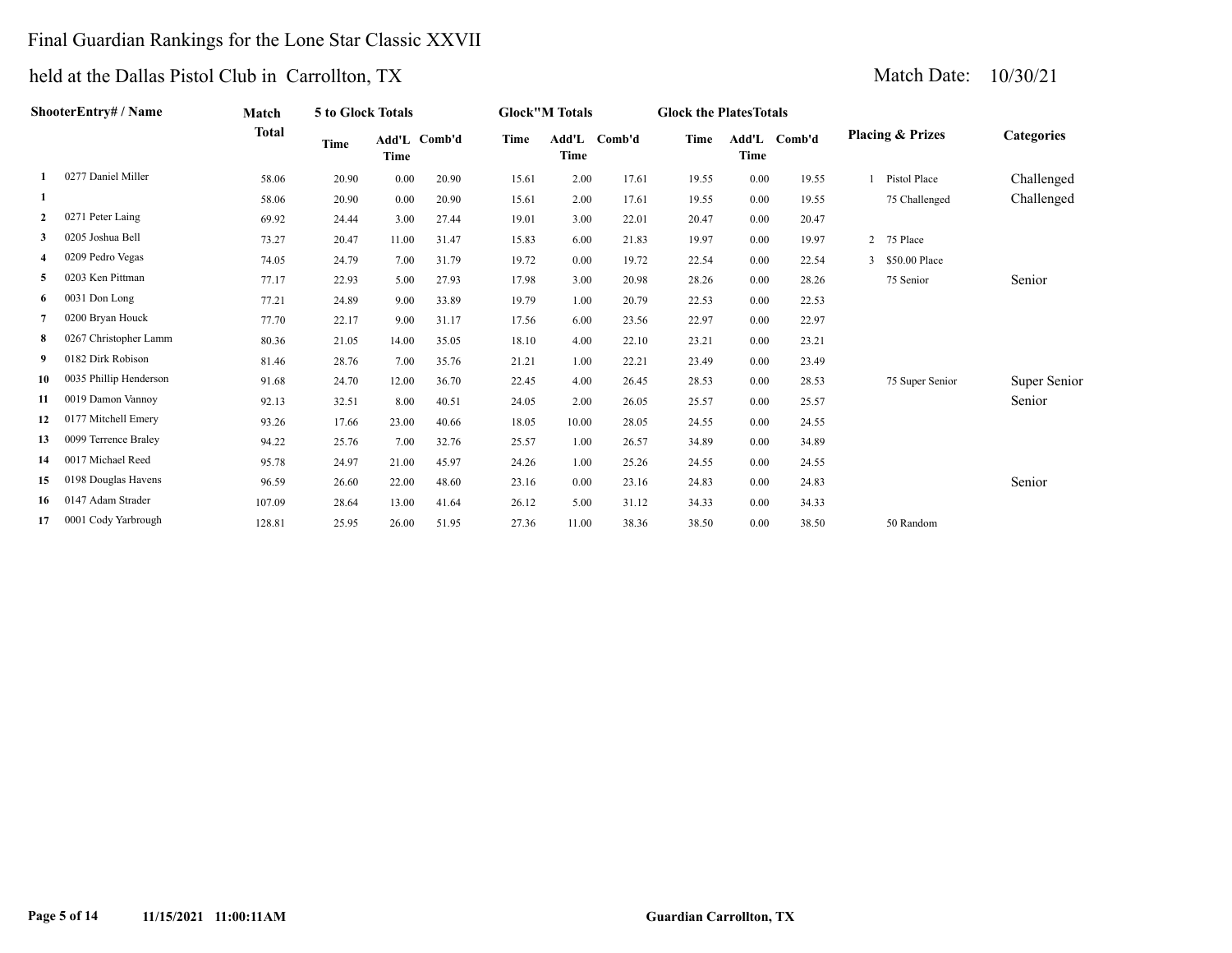## Final Guardian Rankings for the Lone Star Classic XXVII

| ShooterEntry# / Name |                        | Match        | 5 to Glock Totals |       |              |             | <b>Glock"M Totals</b> |        | <b>Glock the Plates Totals</b> |      |              |                             |                 |                   |
|----------------------|------------------------|--------------|-------------------|-------|--------------|-------------|-----------------------|--------|--------------------------------|------|--------------|-----------------------------|-----------------|-------------------|
|                      |                        | <b>Total</b> | Time              | Time  | Add'L Comb'd | <b>Time</b> | Add'L<br>Time         | Comb'd | Time                           | Time | Add'L Comb'd | <b>Placing &amp; Prizes</b> |                 | <b>Categories</b> |
|                      | 0277 Daniel Miller     | 58.06        | 20.90             | 0.00  | 20.90        | 15.61       | 2.00                  | 17.61  | 19.55                          | 0.00 | 19.55        |                             | Pistol Place    | Challenged        |
|                      |                        | 58.06        | 20.90             | 0.00  | 20.90        | 15.61       | 2.00                  | 17.61  | 19.55                          | 0.00 | 19.55        |                             | 75 Challenged   | Challenged        |
| $\mathbf{2}$         | 0271 Peter Laing       | 69.92        | 24.44             | 3.00  | 27.44        | 19.01       | 3.00                  | 22.01  | 20.47                          | 0.00 | 20.47        |                             |                 |                   |
| 3                    | 0205 Joshua Bell       | 73.27        | 20.47             | 11.00 | 31.47        | 15.83       | 6.00                  | 21.83  | 19.97                          | 0.00 | 19.97        |                             | 2 75 Place      |                   |
| 4                    | 0209 Pedro Vegas       | 74.05        | 24.79             | 7.00  | 31.79        | 19.72       | 0.00                  | 19.72  | 22.54                          | 0.00 | 22.54        |                             | 3 \$50.00 Place |                   |
| 5                    | 0203 Ken Pittman       | 77.17        | 22.93             | 5.00  | 27.93        | 17.98       | 3.00                  | 20.98  | 28.26                          | 0.00 | 28.26        |                             | 75 Senior       | Senior            |
| 6                    | 0031 Don Long          | 77.21        | 24.89             | 9.00  | 33.89        | 19.79       | 1.00                  | 20.79  | 22.53                          | 0.00 | 22.53        |                             |                 |                   |
| 7                    | 0200 Bryan Houck       | 77.70        | 22.17             | 9.00  | 31.17        | 17.56       | 6.00                  | 23.56  | 22.97                          | 0.00 | 22.97        |                             |                 |                   |
| 8                    | 0267 Christopher Lamm  | 80.36        | 21.05             | 14.00 | 35.05        | 18.10       | 4.00                  | 22.10  | 23.21                          | 0.00 | 23.21        |                             |                 |                   |
| 9                    | 0182 Dirk Robison      | 81.46        | 28.76             | 7.00  | 35.76        | 21.21       | 1.00                  | 22.21  | 23.49                          | 0.00 | 23.49        |                             |                 |                   |
| 10                   | 0035 Phillip Henderson | 91.68        | 24.70             | 12.00 | 36.70        | 22.45       | 4.00                  | 26.45  | 28.53                          | 0.00 | 28.53        |                             | 75 Super Senior | Super Senior      |
| 11                   | 0019 Damon Vannoy      | 92.13        | 32.51             | 8.00  | 40.51        | 24.05       | 2.00                  | 26.05  | 25.57                          | 0.00 | 25.57        |                             |                 | Senior            |
| 12                   | 0177 Mitchell Emery    | 93.26        | 17.66             | 23.00 | 40.66        | 18.05       | 10.00                 | 28.05  | 24.55                          | 0.00 | 24.55        |                             |                 |                   |
| 13                   | 0099 Terrence Braley   | 94.22        | 25.76             | 7.00  | 32.76        | 25.57       | 1.00                  | 26.57  | 34.89                          | 0.00 | 34.89        |                             |                 |                   |
| 14                   | 0017 Michael Reed      | 95.78        | 24.97             | 21.00 | 45.97        | 24.26       | 1.00                  | 25.26  | 24.55                          | 0.00 | 24.55        |                             |                 |                   |
| 15                   | 0198 Douglas Havens    | 96.59        | 26.60             | 22.00 | 48.60        | 23.16       | 0.00                  | 23.16  | 24.83                          | 0.00 | 24.83        |                             |                 | Senior            |
| 16                   | 0147 Adam Strader      | 107.09       | 28.64             | 13.00 | 41.64        | 26.12       | 5.00                  | 31.12  | 34.33                          | 0.00 | 34.33        |                             |                 |                   |
| 17                   | 0001 Cody Yarbrough    | 128.81       | 25.95             | 26.00 | 51.95        | 27.36       | 11.00                 | 38.36  | 38.50                          | 0.00 | 38.50        |                             | 50 Random       |                   |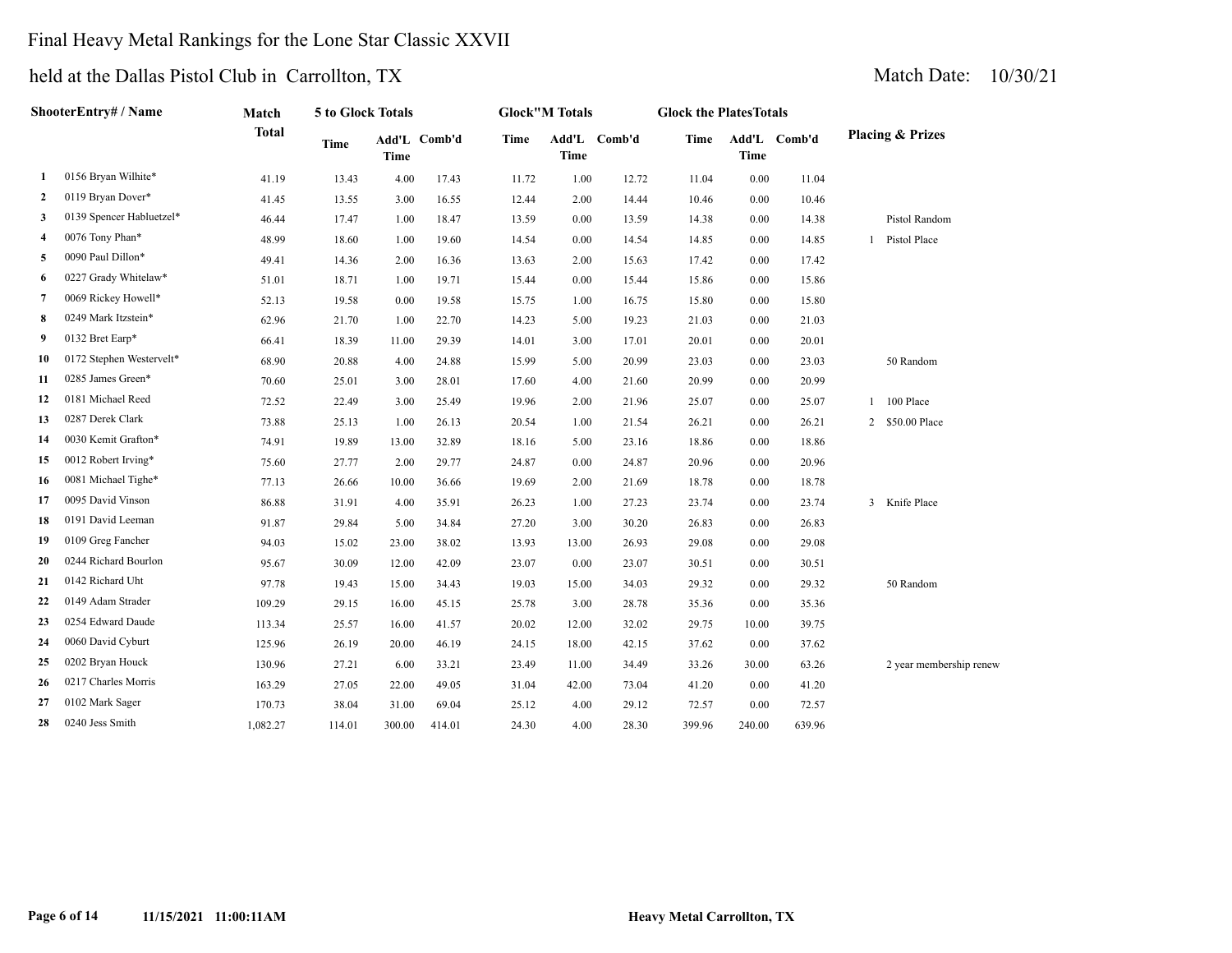## Final Heavy Metal Rankings for the Lone Star Classic XXVII

| ShooterEntry# / Name |                          | Match        |             | 5 to Glock Totals |              | <b>Glock"M Totals</b> |             |              | <b>Glock the PlatesTotals</b> |        |              |                             |  |  |
|----------------------|--------------------------|--------------|-------------|-------------------|--------------|-----------------------|-------------|--------------|-------------------------------|--------|--------------|-----------------------------|--|--|
|                      |                          | <b>Total</b> | <b>Time</b> | <b>Time</b>       | Add'L Comb'd | <b>Time</b>           | <b>Time</b> | Add'L Comb'd | <b>Time</b>                   | Time   | Add'L Comb'd | <b>Placing &amp; Prizes</b> |  |  |
| 1                    | 0156 Bryan Wilhite*      | 41.19        | 13.43       | 4.00              | 17.43        | 11.72                 | 1.00        | 12.72        | 11.04                         | 0.00   | 11.04        |                             |  |  |
| $\mathbf{2}$         | 0119 Bryan Dover*        | 41.45        | 13.55       | 3.00              | 16.55        | 12.44                 | 2.00        | 14.44        | 10.46                         | 0.00   | 10.46        |                             |  |  |
| 3                    | 0139 Spencer Habluetzel* | 46.44        | 17.47       | 1.00              | 18.47        | 13.59                 | 0.00        | 13.59        | 14.38                         | 0.00   | 14.38        | Pistol Random               |  |  |
| 4                    | 0076 Tony Phan*          | 48.99        | 18.60       | 1.00              | 19.60        | 14.54                 | 0.00        | 14.54        | 14.85                         | 0.00   | 14.85        | 1 Pistol Place              |  |  |
| 5                    | 0090 Paul Dillon*        | 49.41        | 14.36       | 2.00              | 16.36        | 13.63                 | 2.00        | 15.63        | 17.42                         | 0.00   | 17.42        |                             |  |  |
| 6                    | 0227 Grady Whitelaw*     | 51.01        | 18.71       | 1.00              | 19.71        | 15.44                 | 0.00        | 15.44        | 15.86                         | 0.00   | 15.86        |                             |  |  |
| 7                    | 0069 Rickey Howell*      | 52.13        | 19.58       | 0.00              | 19.58        | 15.75                 | 1.00        | 16.75        | 15.80                         | 0.00   | 15.80        |                             |  |  |
| 8                    | 0249 Mark Itzstein*      | 62.96        | 21.70       | 1.00              | 22.70        | 14.23                 | 5.00        | 19.23        | 21.03                         | 0.00   | 21.03        |                             |  |  |
| 9                    | 0132 Bret Earp*          | 66.41        | 18.39       | 11.00             | 29.39        | 14.01                 | 3.00        | 17.01        | 20.01                         | 0.00   | 20.01        |                             |  |  |
| 10                   | 0172 Stephen Westervelt* | 68.90        | 20.88       | 4.00              | 24.88        | 15.99                 | 5.00        | 20.99        | 23.03                         | 0.00   | 23.03        | 50 Random                   |  |  |
| 11                   | 0285 James Green*        | 70.60        | 25.01       | 3.00              | 28.01        | 17.60                 | 4.00        | 21.60        | 20.99                         | 0.00   | 20.99        |                             |  |  |
| 12                   | 0181 Michael Reed        | 72.52        | 22.49       | 3.00              | 25.49        | 19.96                 | 2.00        | 21.96        | 25.07                         | 0.00   | 25.07        | 100 Place                   |  |  |
| 13                   | 0287 Derek Clark         | 73.88        | 25.13       | 1.00              | 26.13        | 20.54                 | 1.00        | 21.54        | 26.21                         | 0.00   | 26.21        | 2 \$50.00 Place             |  |  |
| 14                   | 0030 Kemit Grafton*      | 74.91        | 19.89       | 13.00             | 32.89        | 18.16                 | 5.00        | 23.16        | 18.86                         | 0.00   | 18.86        |                             |  |  |
| 15                   | 0012 Robert Irving*      | 75.60        | 27.77       | 2.00              | 29.77        | 24.87                 | 0.00        | 24.87        | 20.96                         | 0.00   | 20.96        |                             |  |  |
| 16                   | 0081 Michael Tighe*      | 77.13        | 26.66       | 10.00             | 36.66        | 19.69                 | 2.00        | 21.69        | 18.78                         | 0.00   | 18.78        |                             |  |  |
| 17                   | 0095 David Vinson        | 86.88        | 31.91       | 4.00              | 35.91        | 26.23                 | 1.00        | 27.23        | 23.74                         | 0.00   | 23.74        | 3 Knife Place               |  |  |
| 18                   | 0191 David Leeman        | 91.87        | 29.84       | 5.00              | 34.84        | 27.20                 | 3.00        | 30.20        | 26.83                         | 0.00   | 26.83        |                             |  |  |
| 19                   | 0109 Greg Fancher        | 94.03        | 15.02       | 23.00             | 38.02        | 13.93                 | 13.00       | 26.93        | 29.08                         | 0.00   | 29.08        |                             |  |  |
| 20                   | 0244 Richard Bourlon     | 95.67        | 30.09       | 12.00             | 42.09        | 23.07                 | 0.00        | 23.07        | 30.51                         | 0.00   | 30.51        |                             |  |  |
| 21                   | 0142 Richard Uht         | 97.78        | 19.43       | 15.00             | 34.43        | 19.03                 | 15.00       | 34.03        | 29.32                         | 0.00   | 29.32        | 50 Random                   |  |  |
| 22                   | 0149 Adam Strader        | 109.29       | 29.15       | 16.00             | 45.15        | 25.78                 | 3.00        | 28.78        | 35.36                         | 0.00   | 35.36        |                             |  |  |
| 23                   | 0254 Edward Daude        | 113.34       | 25.57       | 16.00             | 41.57        | 20.02                 | 12.00       | 32.02        | 29.75                         | 10.00  | 39.75        |                             |  |  |
| 24                   | 0060 David Cyburt        | 125.96       | 26.19       | 20.00             | 46.19        | 24.15                 | 18.00       | 42.15        | 37.62                         | 0.00   | 37.62        |                             |  |  |
| 25                   | 0202 Bryan Houck         | 130.96       | 27.21       | 6.00              | 33.21        | 23.49                 | 11.00       | 34.49        | 33.26                         | 30.00  | 63.26        | 2 year membership renew     |  |  |
| 26                   | 0217 Charles Morris      | 163.29       | 27.05       | 22.00             | 49.05        | 31.04                 | 42.00       | 73.04        | 41.20                         | 0.00   | 41.20        |                             |  |  |
| 27                   | 0102 Mark Sager          | 170.73       | 38.04       | 31.00             | 69.04        | 25.12                 | 4.00        | 29.12        | 72.57                         | 0.00   | 72.57        |                             |  |  |
| 28                   | 0240 Jess Smith          | 1,082.27     | 114.01      | 300.00            | 414.01       | 24.30                 | 4.00        | 28.30        | 399.96                        | 240.00 | 639.96       |                             |  |  |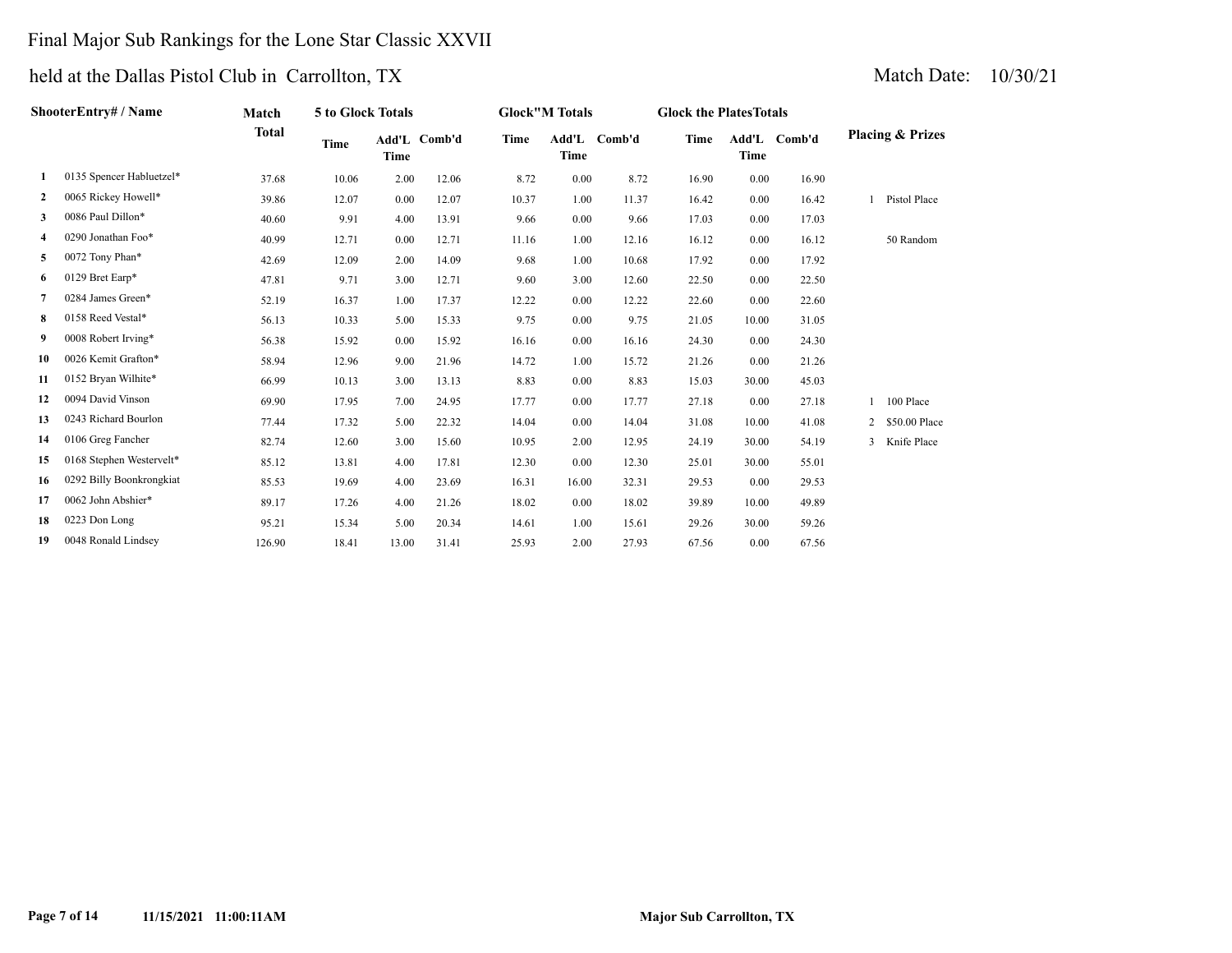## Final Major Sub Rankings for the Lone Star Classic XXVII

| ShooterEntry# / Name |                          | Match        | 5 to Glock Totals |       |              |       | <b>Glock"M Totals</b> |              | <b>Glock the PlatesTotals</b> |                      |        |  |                             |  |  |
|----------------------|--------------------------|--------------|-------------------|-------|--------------|-------|-----------------------|--------------|-------------------------------|----------------------|--------|--|-----------------------------|--|--|
|                      |                          | <b>Total</b> | Time              | Time  | Add'L Comb'd | Time  | <b>Time</b>           | Add'L Comb'd | Time                          | Add'L<br><b>Time</b> | Comb'd |  | <b>Placing &amp; Prizes</b> |  |  |
| 1                    | 0135 Spencer Habluetzel* | 37.68        | 10.06             | 2.00  | 12.06        | 8.72  | 0.00                  | 8.72         | 16.90                         | 0.00                 | 16.90  |  |                             |  |  |
| $\mathbf{2}$         | 0065 Rickey Howell*      | 39.86        | 12.07             | 0.00  | 12.07        | 10.37 | 1.00                  | 11.37        | 16.42                         | 0.00                 | 16.42  |  | Pistol Place                |  |  |
| 3                    | 0086 Paul Dillon*        | 40.60        | 9.91              | 4.00  | 13.91        | 9.66  | 0.00                  | 9.66         | 17.03                         | 0.00                 | 17.03  |  |                             |  |  |
| 4                    | 0290 Jonathan Foo*       | 40.99        | 12.71             | 0.00  | 12.71        | 11.16 | 1.00                  | 12.16        | 16.12                         | 0.00                 | 16.12  |  | 50 Random                   |  |  |
| 5                    | 0072 Tony Phan*          | 42.69        | 12.09             | 2.00  | 14.09        | 9.68  | 1.00                  | 10.68        | 17.92                         | 0.00                 | 17.92  |  |                             |  |  |
| 6                    | 0129 Bret Earp*          | 47.81        | 9.71              | 3.00  | 12.71        | 9.60  | 3.00                  | 12.60        | 22.50                         | 0.00                 | 22.50  |  |                             |  |  |
| $7^{\circ}$          | 0284 James Green*        | 52.19        | 16.37             | 1.00  | 17.37        | 12.22 | 0.00                  | 12.22        | 22.60                         | 0.00                 | 22.60  |  |                             |  |  |
| 8                    | 0158 Reed Vestal*        | 56.13        | 10.33             | 5.00  | 15.33        | 9.75  | 0.00                  | 9.75         | 21.05                         | 10.00                | 31.05  |  |                             |  |  |
| 9                    | 0008 Robert Irving*      | 56.38        | 15.92             | 0.00  | 15.92        | 16.16 | 0.00                  | 16.16        | 24.30                         | 0.00                 | 24.30  |  |                             |  |  |
| 10                   | 0026 Kemit Grafton*      | 58.94        | 12.96             | 9.00  | 21.96        | 14.72 | 1.00                  | 15.72        | 21.26                         | 0.00                 | 21.26  |  |                             |  |  |
| 11                   | 0152 Bryan Wilhite*      | 66.99        | 10.13             | 3.00  | 13.13        | 8.83  | 0.00                  | 8.83         | 15.03                         | 30.00                | 45.03  |  |                             |  |  |
| 12                   | 0094 David Vinson        | 69.90        | 17.95             | 7.00  | 24.95        | 17.77 | 0.00                  | 17.77        | 27.18                         | 0.00                 | 27.18  |  | 1 100 Place                 |  |  |
| 13                   | 0243 Richard Bourlon     | 77.44        | 17.32             | 5.00  | 22.32        | 14.04 | 0.00                  | 14.04        | 31.08                         | 10.00                | 41.08  |  | 2 \$50.00 Place             |  |  |
| 14                   | 0106 Greg Fancher        | 82.74        | 12.60             | 3.00  | 15.60        | 10.95 | 2.00                  | 12.95        | 24.19                         | 30.00                | 54.19  |  | 3 Knife Place               |  |  |
| 15                   | 0168 Stephen Westervelt* | 85.12        | 13.81             | 4.00  | 17.81        | 12.30 | 0.00                  | 12.30        | 25.01                         | 30.00                | 55.01  |  |                             |  |  |
| 16                   | 0292 Billy Boonkrongkiat | 85.53        | 19.69             | 4.00  | 23.69        | 16.31 | 16.00                 | 32.31        | 29.53                         | 0.00                 | 29.53  |  |                             |  |  |
| 17                   | 0062 John Abshier*       | 89.17        | 17.26             | 4.00  | 21.26        | 18.02 | 0.00                  | 18.02        | 39.89                         | 10.00                | 49.89  |  |                             |  |  |
| 18                   | 0223 Don Long            | 95.21        | 15.34             | 5.00  | 20.34        | 14.61 | 1.00                  | 15.61        | 29.26                         | 30.00                | 59.26  |  |                             |  |  |
| 19                   | 0048 Ronald Lindsey      | 126.90       | 18.41             | 13.00 | 31.41        | 25.93 | 2.00                  | 27.93        | 67.56                         | 0.00                 | 67.56  |  |                             |  |  |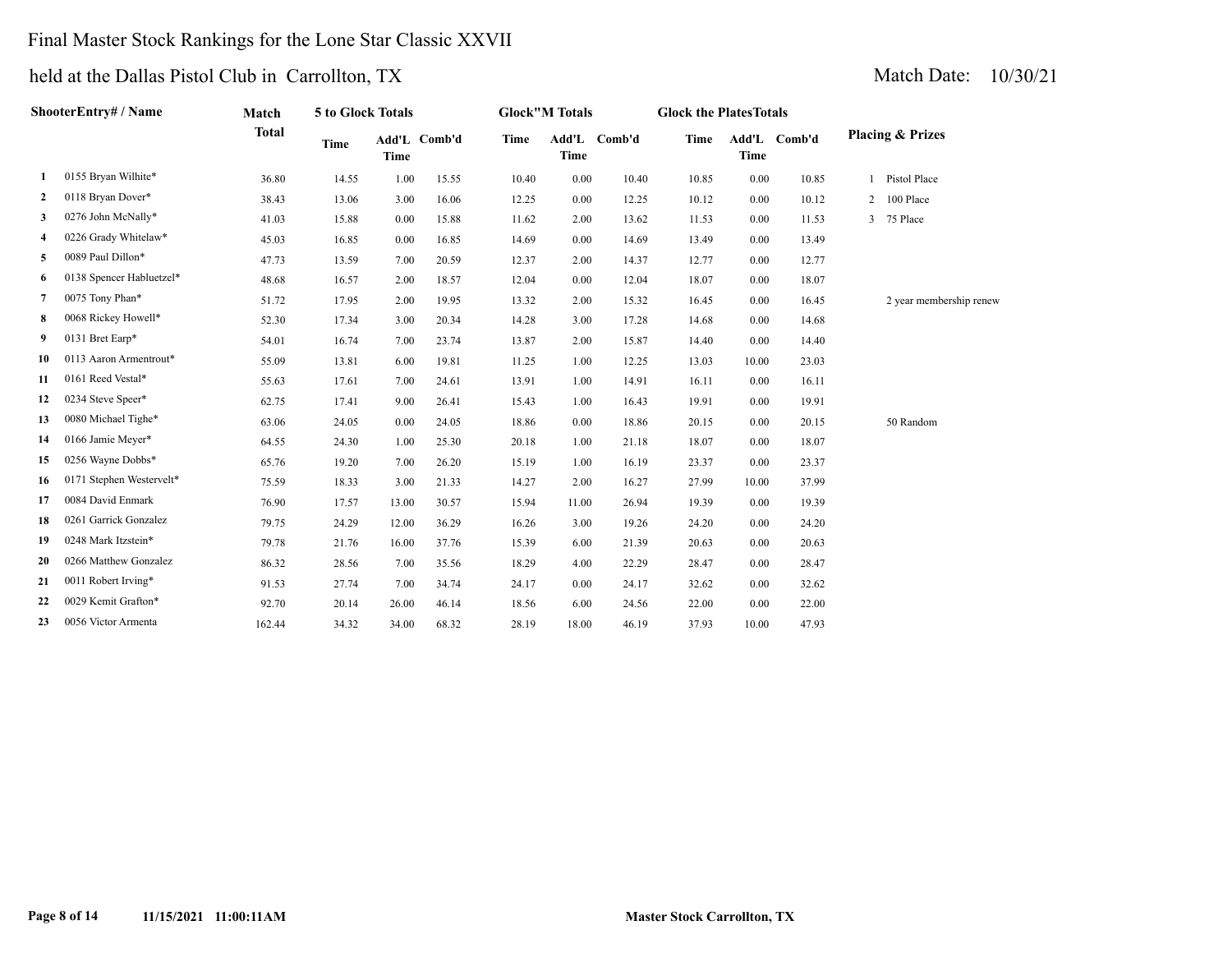## Final Master Stock Rankings for the Lone Star Classic XXVII

| ShooterEntry# / Name |                          | Match        | 5 to Glock Totals |             |              | <b>Glock"M Totals</b> |             |              | <b>Glock the PlatesTotals</b> |             |              |                             |
|----------------------|--------------------------|--------------|-------------------|-------------|--------------|-----------------------|-------------|--------------|-------------------------------|-------------|--------------|-----------------------------|
|                      |                          | <b>Total</b> | <b>Time</b>       | <b>Time</b> | Add'L Comb'd | Time                  | <b>Time</b> | Add'L Comb'd | Time                          | <b>Time</b> | Add'L Comb'd | <b>Placing &amp; Prizes</b> |
| 1                    | 0155 Bryan Wilhite*      | 36.80        | 14.55             | 1.00        | 15.55        | 10.40                 | 0.00        | 10.40        | 10.85                         | 0.00        | 10.85        | Pistol Place                |
| 2                    | 0118 Bryan Dover*        | 38.43        | 13.06             | 3.00        | 16.06        | 12.25                 | 0.00        | 12.25        | 10.12                         | 0.00        | 10.12        | 2 100 Place                 |
| 3                    | 0276 John McNally*       | 41.03        | 15.88             | 0.00        | 15.88        | 11.62                 | 2.00        | 13.62        | 11.53                         | 0.00        | 11.53        | 3 75 Place                  |
| 4                    | 0226 Grady Whitelaw*     | 45.03        | 16.85             | 0.00        | 16.85        | 14.69                 | 0.00        | 14.69        | 13.49                         | 0.00        | 13.49        |                             |
| 5                    | 0089 Paul Dillon*        | 47.73        | 13.59             | 7.00        | 20.59        | 12.37                 | 2.00        | 14.37        | 12.77                         | 0.00        | 12.77        |                             |
| 6                    | 0138 Spencer Habluetzel* | 48.68        | 16.57             | 2.00        | 18.57        | 12.04                 | 0.00        | 12.04        | 18.07                         | 0.00        | 18.07        |                             |
| 7                    | 0075 Tony Phan*          | 51.72        | 17.95             | 2.00        | 19.95        | 13.32                 | 2.00        | 15.32        | 16.45                         | 0.00        | 16.45        | 2 year membership renew     |
| 8                    | 0068 Rickey Howell*      | 52.30        | 17.34             | 3.00        | 20.34        | 14.28                 | 3.00        | 17.28        | 14.68                         | 0.00        | 14.68        |                             |
| 9                    | 0131 Bret Earp*          | 54.01        | 16.74             | 7.00        | 23.74        | 13.87                 | 2.00        | 15.87        | 14.40                         | 0.00        | 14.40        |                             |
| 10                   | 0113 Aaron Armentrout*   | 55.09        | 13.81             | 6.00        | 19.81        | 11.25                 | 1.00        | 12.25        | 13.03                         | 10.00       | 23.03        |                             |
| 11                   | 0161 Reed Vestal*        | 55.63        | 17.61             | 7.00        | 24.61        | 13.91                 | 1.00        | 14.91        | 16.11                         | 0.00        | 16.11        |                             |
| 12                   | 0234 Steve Speer*        | 62.75        | 17.41             | 9.00        | 26.41        | 15.43                 | 1.00        | 16.43        | 19.91                         | 0.00        | 19.91        |                             |
| 13                   | 0080 Michael Tighe*      | 63.06        | 24.05             | 0.00        | 24.05        | 18.86                 | 0.00        | 18.86        | 20.15                         | 0.00        | 20.15        | 50 Random                   |
| 14                   | 0166 Jamie Meyer*        | 64.55        | 24.30             | 1.00        | 25.30        | 20.18                 | 1.00        | 21.18        | 18.07                         | 0.00        | 18.07        |                             |
| 15                   | 0256 Wayne Dobbs*        | 65.76        | 19.20             | 7.00        | 26.20        | 15.19                 | 1.00        | 16.19        | 23.37                         | 0.00        | 23.37        |                             |
| 16                   | 0171 Stephen Westervelt* | 75.59        | 18.33             | 3.00        | 21.33        | 14.27                 | 2.00        | 16.27        | 27.99                         | 10.00       | 37.99        |                             |
| 17                   | 0084 David Enmark        | 76.90        | 17.57             | 13.00       | 30.57        | 15.94                 | 11.00       | 26.94        | 19.39                         | 0.00        | 19.39        |                             |
| 18                   | 0261 Garrick Gonzalez    | 79.75        | 24.29             | 12.00       | 36.29        | 16.26                 | 3.00        | 19.26        | 24.20                         | 0.00        | 24.20        |                             |
| 19                   | 0248 Mark Itzstein*      | 79.78        | 21.76             | 16.00       | 37.76        | 15.39                 | 6.00        | 21.39        | 20.63                         | 0.00        | 20.63        |                             |
| 20                   | 0266 Matthew Gonzalez    | 86.32        | 28.56             | 7.00        | 35.56        | 18.29                 | 4.00        | 22.29        | 28.47                         | 0.00        | 28.47        |                             |
| 21                   | 0011 Robert Irving*      | 91.53        | 27.74             | 7.00        | 34.74        | 24.17                 | 0.00        | 24.17        | 32.62                         | 0.00        | 32.62        |                             |
| 22                   | 0029 Kemit Grafton*      | 92.70        | 20.14             | 26.00       | 46.14        | 18.56                 | 6.00        | 24.56        | 22.00                         | 0.00        | 22.00        |                             |
| 23                   | 0056 Victor Armenta      | 162.44       | 34.32             | 34.00       | 68.32        | 28.19                 | 18.00       | 46.19        | 37.93                         | 10.00       | 47.93        |                             |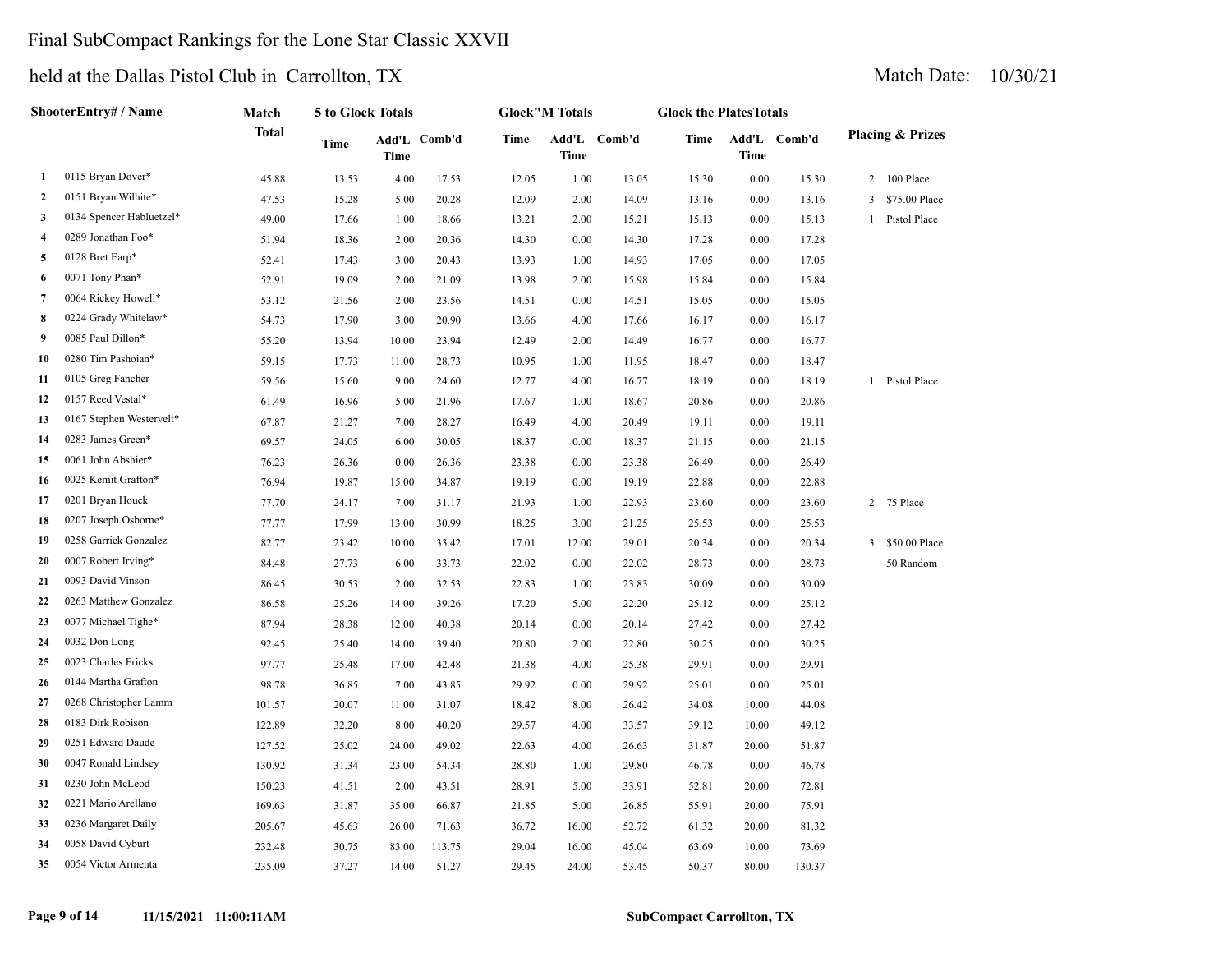## Final SubCompact Rankings for the Lone Star Classic XXVII

|              | ShooterEntry# / Name     | Match  | 5 to Glock Totals |       |              |       | <b>Glock"M Totals</b> |              | <b>Glock the PlatesTotals</b> |       |              |  |                             |  |  |
|--------------|--------------------------|--------|-------------------|-------|--------------|-------|-----------------------|--------------|-------------------------------|-------|--------------|--|-----------------------------|--|--|
|              |                          | Total  | Time              | Time  | Add'L Comb'd | Time  | Time                  | Add'L Comb'd | <b>Time</b>                   | Time  | Add'L Comb'd |  | <b>Placing &amp; Prizes</b> |  |  |
| 1            | 0115 Bryan Dover*        | 45.88  | 13.53             | 4.00  | 17.53        | 12.05 | 1.00                  | 13.05        | 15.30                         | 0.00  | 15.30        |  | 2 100 Place                 |  |  |
| $\mathbf{2}$ | 0151 Bryan Wilhite*      | 47.53  | 15.28             | 5.00  | 20.28        | 12.09 | 2.00                  | 14.09        | 13.16                         | 0.00  | 13.16        |  | 3 \$75.00 Place             |  |  |
| 3            | 0134 Spencer Habluetzel* | 49.00  | 17.66             | 1.00  | 18.66        | 13.21 | 2.00                  | 15.21        | 15.13                         | 0.00  | 15.13        |  | 1 Pistol Place              |  |  |
| 4            | 0289 Jonathan Foo*       | 51.94  | 18.36             | 2.00  | 20.36        | 14.30 | $0.00\,$              | 14.30        | 17.28                         | 0.00  | 17.28        |  |                             |  |  |
| 5            | 0128 Bret Earp*          | 52.41  | 17.43             | 3.00  | 20.43        | 13.93 | 1.00                  | 14.93        | 17.05                         | 0.00  | 17.05        |  |                             |  |  |
| 6            | 0071 Tony Phan*          | 52.91  | 19.09             | 2.00  | 21.09        | 13.98 | 2.00                  | 15.98        | 15.84                         | 0.00  | 15.84        |  |                             |  |  |
| 7            | 0064 Rickey Howell*      | 53.12  | 21.56             | 2.00  | 23.56        | 14.51 | 0.00                  | 14.51        | 15.05                         | 0.00  | 15.05        |  |                             |  |  |
| 8            | 0224 Grady Whitelaw*     | 54.73  | 17.90             | 3.00  | 20.90        | 13.66 | 4.00                  | 17.66        | 16.17                         | 0.00  | 16.17        |  |                             |  |  |
| 9            | 0085 Paul Dillon*        | 55.20  | 13.94             | 10.00 | 23.94        | 12.49 | 2.00                  | 14.49        | 16.77                         | 0.00  | 16.77        |  |                             |  |  |
| 10           | 0280 Tim Pashoian*       | 59.15  | 17.73             | 11.00 | 28.73        | 10.95 | 1.00                  | 11.95        | 18.47                         | 0.00  | 18.47        |  |                             |  |  |
| 11           | 0105 Greg Fancher        | 59.56  | 15.60             | 9.00  | 24.60        | 12.77 | 4.00                  | 16.77        | 18.19                         | 0.00  | 18.19        |  | 1 Pistol Place              |  |  |
| 12           | 0157 Reed Vestal*        | 61.49  | 16.96             | 5.00  | 21.96        | 17.67 | 1.00                  | 18.67        | 20.86                         | 0.00  | 20.86        |  |                             |  |  |
| 13           | 0167 Stephen Westervelt* | 67.87  | 21.27             | 7.00  | 28.27        | 16.49 | 4.00                  | 20.49        | 19.11                         | 0.00  | 19.11        |  |                             |  |  |
| 14           | 0283 James Green*        | 69.57  | 24.05             | 6.00  | 30.05        | 18.37 | 0.00                  | 18.37        | 21.15                         | 0.00  | 21.15        |  |                             |  |  |
| 15           | 0061 John Abshier*       | 76.23  | 26.36             | 0.00  | 26.36        | 23.38 | 0.00                  | 23.38        | 26.49                         | 0.00  | 26.49        |  |                             |  |  |
| 16           | 0025 Kemit Grafton*      | 76.94  | 19.87             | 15.00 | 34.87        | 19.19 | 0.00                  | 19.19        | 22.88                         | 0.00  | 22.88        |  |                             |  |  |
| 17           | 0201 Bryan Houck         | 77.70  | 24.17             | 7.00  | 31.17        | 21.93 | 1.00                  | 22.93        | 23.60                         | 0.00  | 23.60        |  | 2 75 Place                  |  |  |
| 18           | 0207 Joseph Osborne*     | 77.77  | 17.99             | 13.00 | 30.99        | 18.25 | 3.00                  | 21.25        | 25.53                         | 0.00  | 25.53        |  |                             |  |  |
| 19           | 0258 Garrick Gonzalez    | 82.77  | 23.42             | 10.00 | 33.42        | 17.01 | 12.00                 | 29.01        | 20.34                         | 0.00  | 20.34        |  | 3 \$50.00 Place             |  |  |
| 20           | 0007 Robert Irving*      | 84.48  | 27.73             | 6.00  | 33.73        | 22.02 | 0.00                  | 22.02        | 28.73                         | 0.00  | 28.73        |  | 50 Random                   |  |  |
| 21           | 0093 David Vinson        | 86.45  | 30.53             | 2.00  | 32.53        | 22.83 | 1.00                  | 23.83        | 30.09                         | 0.00  | 30.09        |  |                             |  |  |
| 22           | 0263 Matthew Gonzalez    | 86.58  | 25.26             | 14.00 | 39.26        | 17.20 | 5.00                  | 22.20        | 25.12                         | 0.00  | 25.12        |  |                             |  |  |
| 23           | 0077 Michael Tighe*      | 87.94  | 28.38             | 12.00 | 40.38        | 20.14 | 0.00                  | 20.14        | 27.42                         | 0.00  | 27.42        |  |                             |  |  |
| 24           | 0032 Don Long            | 92.45  | 25.40             | 14.00 | 39.40        | 20.80 | 2.00                  | 22.80        | 30.25                         | 0.00  | 30.25        |  |                             |  |  |
| 25           | 0023 Charles Fricks      | 97.77  | 25.48             | 17.00 | 42.48        | 21.38 | 4.00                  | 25.38        | 29.91                         | 0.00  | 29.91        |  |                             |  |  |
| 26           | 0144 Martha Grafton      | 98.78  | 36.85             | 7.00  | 43.85        | 29.92 | 0.00                  | 29.92        | 25.01                         | 0.00  | 25.01        |  |                             |  |  |
| 27           | 0268 Christopher Lamm    | 101.57 | 20.07             | 11.00 | 31.07        | 18.42 | 8.00                  | 26.42        | 34.08                         | 10.00 | 44.08        |  |                             |  |  |
| 28           | 0183 Dirk Robison        | 122.89 | 32.20             | 8.00  | 40.20        | 29.57 | 4.00                  | 33.57        | 39.12                         | 10.00 | 49.12        |  |                             |  |  |
| 29           | 0251 Edward Daude        | 127.52 | 25.02             | 24.00 | 49.02        | 22.63 | 4.00                  | 26.63        | 31.87                         | 20.00 | 51.87        |  |                             |  |  |
| 30           | 0047 Ronald Lindsey      | 130.92 | 31.34             | 23.00 | 54.34        | 28.80 | 1.00                  | 29.80        | 46.78                         | 0.00  | 46.78        |  |                             |  |  |
| 31           | 0230 John McLeod         | 150.23 | 41.51             | 2.00  | 43.51        | 28.91 | 5.00                  | 33.91        | 52.81                         | 20.00 | 72.81        |  |                             |  |  |
| 32           | 0221 Mario Arellano      | 169.63 | 31.87             | 35.00 | 66.87        | 21.85 | 5.00                  | 26.85        | 55.91                         | 20.00 | 75.91        |  |                             |  |  |
| 33           | 0236 Margaret Daily      | 205.67 | 45.63             | 26.00 | 71.63        | 36.72 | 16.00                 | 52.72        | 61.32                         | 20.00 | 81.32        |  |                             |  |  |
| 34           | 0058 David Cyburt        | 232.48 | 30.75             | 83.00 | 113.75       | 29.04 | 16.00                 | 45.04        | 63.69                         | 10.00 | 73.69        |  |                             |  |  |
| 35           | 0054 Victor Armenta      | 235.09 | 37.27             | 14.00 | 51.27        | 29.45 | 24.00                 | 53.45        | 50.37                         | 80.00 | 130.37       |  |                             |  |  |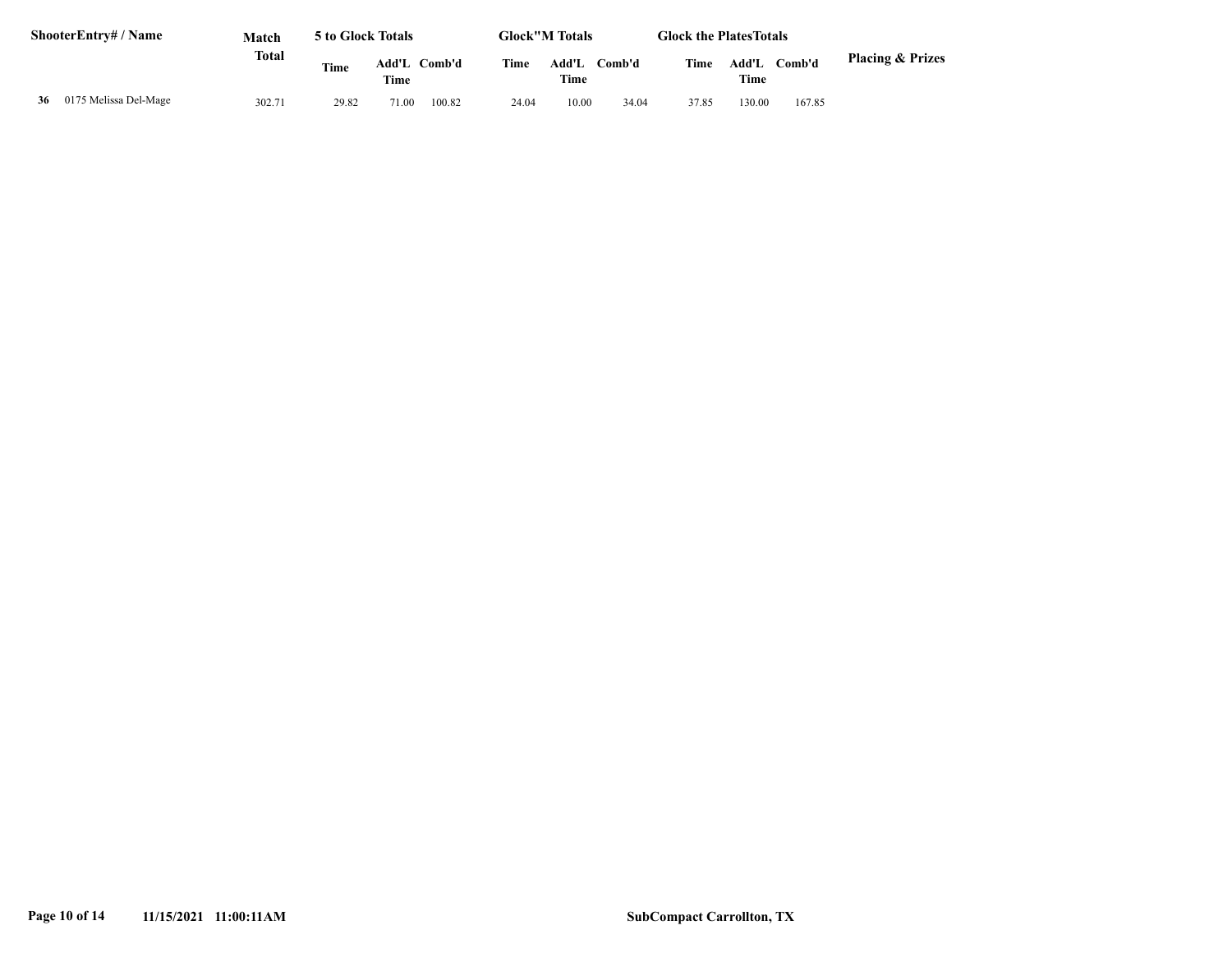| <b>ShooterEntry#/Name</b> |                       | Match  | 5 to Glock Totals |               | <b>Glock"M Totals</b> |       |               |         | <b>Glock the Plates Totals</b> |               |        |                             |
|---------------------------|-----------------------|--------|-------------------|---------------|-----------------------|-------|---------------|---------|--------------------------------|---------------|--------|-----------------------------|
|                           |                       | Total  | <b>Time</b>       | Add'L<br>Time | Comb'd                | Time  | Add'L<br>Time | Comb'd- | Time                           | Add'L<br>Time | Comb'd | <b>Placing &amp; Prizes</b> |
| 36                        | 0175 Melissa Del-Mage | 302.71 | 29.82             | 71.00         | 100.82                | 24.04 | 10.00         | 34.04   | 37.85                          | 130.00        | 167.85 |                             |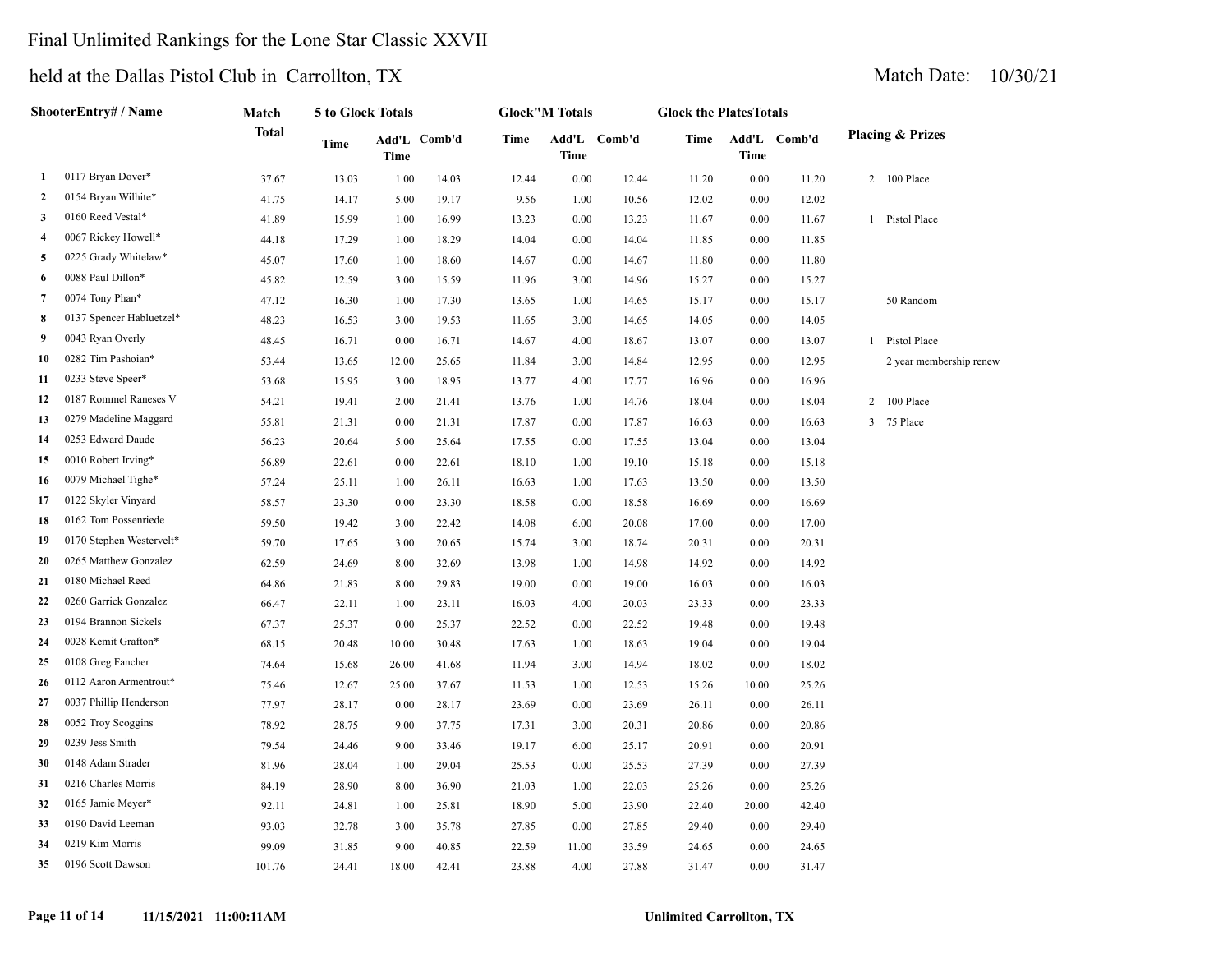## Final Unlimited Rankings for the Lone Star Classic XXVII

| ShooterEntry# / Name |                          | Match        |       | 5 to Glock Totals |              | <b>Glock"M Totals</b> |             | <b>Glock the PlatesTotals</b> |       |          |              |   |                             |
|----------------------|--------------------------|--------------|-------|-------------------|--------------|-----------------------|-------------|-------------------------------|-------|----------|--------------|---|-----------------------------|
|                      |                          | <b>Total</b> | Time  | Time              | Add'L Comb'd | <b>Time</b>           | <b>Time</b> | Add'L Comb'd                  | Time  | Time     | Add'L Comb'd |   | <b>Placing &amp; Prizes</b> |
| 1                    | 0117 Bryan Dover*        | 37.67        | 13.03 | 1.00              | 14.03        | 12.44                 | 0.00        | 12.44                         | 11.20 | 0.00     | 11.20        |   | 2 100 Place                 |
| 2                    | 0154 Bryan Wilhite*      | 41.75        | 14.17 | 5.00              | 19.17        | 9.56                  | 1.00        | 10.56                         | 12.02 | 0.00     | 12.02        |   |                             |
| 3                    | 0160 Reed Vestal*        | 41.89        | 15.99 | 1.00              | 16.99        | 13.23                 | 0.00        | 13.23                         | 11.67 | 0.00     | 11.67        |   | 1 Pistol Place              |
| 4                    | 0067 Rickey Howell*      | 44.18        | 17.29 | 1.00              | 18.29        | 14.04                 | 0.00        | 14.04                         | 11.85 | $0.00\,$ | 11.85        |   |                             |
| 5                    | 0225 Grady Whitelaw*     | 45.07        | 17.60 | 1.00              | 18.60        | 14.67                 | 0.00        | 14.67                         | 11.80 | 0.00     | 11.80        |   |                             |
| 6                    | 0088 Paul Dillon*        | 45.82        | 12.59 | 3.00              | 15.59        | 11.96                 | 3.00        | 14.96                         | 15.27 | 0.00     | 15.27        |   |                             |
| 7                    | 0074 Tony Phan*          | 47.12        | 16.30 | 1.00              | 17.30        | 13.65                 | 1.00        | 14.65                         | 15.17 | 0.00     | 15.17        |   | 50 Random                   |
| 8                    | 0137 Spencer Habluetzel* | 48.23        | 16.53 | 3.00              | 19.53        | 11.65                 | 3.00        | 14.65                         | 14.05 | 0.00     | 14.05        |   |                             |
| 9                    | 0043 Ryan Overly         | 48.45        | 16.71 | 0.00              | 16.71        | 14.67                 | 4.00        | 18.67                         | 13.07 | 0.00     | 13.07        |   | 1 Pistol Place              |
| 10                   | 0282 Tim Pashoian*       | 53.44        | 13.65 | 12.00             | 25.65        | 11.84                 | 3.00        | 14.84                         | 12.95 | 0.00     | 12.95        |   | 2 year membership renew     |
| 11                   | 0233 Steve Speer*        | 53.68        | 15.95 | 3.00              | 18.95        | 13.77                 | 4.00        | 17.77                         | 16.96 | 0.00     | 16.96        |   |                             |
| 12                   | 0187 Rommel Raneses V    | 54.21        | 19.41 | 2.00              | 21.41        | 13.76                 | 1.00        | 14.76                         | 18.04 | 0.00     | 18.04        | 2 | 100 Place                   |
| 13                   | 0279 Madeline Maggard    | 55.81        | 21.31 | 0.00              | 21.31        | 17.87                 | 0.00        | 17.87                         | 16.63 | 0.00     | 16.63        |   | 3 75 Place                  |
| 14                   | 0253 Edward Daude        | 56.23        | 20.64 | 5.00              | 25.64        | 17.55                 | 0.00        | 17.55                         | 13.04 | 0.00     | 13.04        |   |                             |
| 15                   | 0010 Robert Irving*      | 56.89        | 22.61 | 0.00              | 22.61        | 18.10                 | 1.00        | 19.10                         | 15.18 | 0.00     | 15.18        |   |                             |
| 16                   | 0079 Michael Tighe*      | 57.24        | 25.11 | 1.00              | 26.11        | 16.63                 | 1.00        | 17.63                         | 13.50 | 0.00     | 13.50        |   |                             |
| 17                   | 0122 Skyler Vinyard      | 58.57        | 23.30 | 0.00              | 23.30        | 18.58                 | 0.00        | 18.58                         | 16.69 | 0.00     | 16.69        |   |                             |
| 18                   | 0162 Tom Possenriede     | 59.50        | 19.42 | 3.00              | 22.42        | 14.08                 | 6.00        | 20.08                         | 17.00 | 0.00     | 17.00        |   |                             |
| 19                   | 0170 Stephen Westervelt* | 59.70        | 17.65 | 3.00              | 20.65        | 15.74                 | 3.00        | 18.74                         | 20.31 | 0.00     | 20.31        |   |                             |
| 20                   | 0265 Matthew Gonzalez    | 62.59        | 24.69 | 8.00              | 32.69        | 13.98                 | 1.00        | 14.98                         | 14.92 | 0.00     | 14.92        |   |                             |
| 21                   | 0180 Michael Reed        | 64.86        | 21.83 | 8.00              | 29.83        | 19.00                 | 0.00        | 19.00                         | 16.03 | 0.00     | 16.03        |   |                             |
| 22                   | 0260 Garrick Gonzalez    | 66.47        | 22.11 | 1.00              | 23.11        | 16.03                 | 4.00        | 20.03                         | 23.33 | 0.00     | 23.33        |   |                             |
| 23                   | 0194 Brannon Sickels     | 67.37        | 25.37 | 0.00              | 25.37        | 22.52                 | 0.00        | 22.52                         | 19.48 | $0.00\,$ | 19.48        |   |                             |
| 24                   | 0028 Kemit Grafton*      | 68.15        | 20.48 | 10.00             | 30.48        | 17.63                 | 1.00        | 18.63                         | 19.04 | 0.00     | 19.04        |   |                             |
| 25                   | 0108 Greg Fancher        | 74.64        | 15.68 | 26.00             | 41.68        | 11.94                 | 3.00        | 14.94                         | 18.02 | 0.00     | 18.02        |   |                             |
| 26                   | 0112 Aaron Armentrout*   | 75.46        | 12.67 | 25.00             | 37.67        | 11.53                 | 1.00        | 12.53                         | 15.26 | 10.00    | 25.26        |   |                             |
| 27                   | 0037 Phillip Henderson   | 77.97        | 28.17 | 0.00              | 28.17        | 23.69                 | 0.00        | 23.69                         | 26.11 | 0.00     | 26.11        |   |                             |
| 28                   | 0052 Troy Scoggins       | 78.92        | 28.75 | 9.00              | 37.75        | 17.31                 | 3.00        | 20.31                         | 20.86 | 0.00     | 20.86        |   |                             |
| 29                   | 0239 Jess Smith          | 79.54        | 24.46 | 9.00              | 33.46        | 19.17                 | 6.00        | 25.17                         | 20.91 | 0.00     | 20.91        |   |                             |
| 30                   | 0148 Adam Strader        | 81.96        | 28.04 | 1.00              | 29.04        | 25.53                 | 0.00        | 25.53                         | 27.39 | 0.00     | 27.39        |   |                             |
| 31                   | 0216 Charles Morris      | 84.19        | 28.90 | 8.00              | 36.90        | 21.03                 | 1.00        | 22.03                         | 25.26 | 0.00     | 25.26        |   |                             |
| 32                   | 0165 Jamie Meyer*        | 92.11        | 24.81 | 1.00              | 25.81        | 18.90                 | 5.00        | 23.90                         | 22.40 | 20.00    | 42.40        |   |                             |
| 33                   | 0190 David Leeman        | 93.03        | 32.78 | 3.00              | 35.78        | 27.85                 | 0.00        | 27.85                         | 29.40 | 0.00     | 29.40        |   |                             |
| 34                   | 0219 Kim Morris          | 99.09        | 31.85 | 9.00              | 40.85        | 22.59                 | 11.00       | 33.59                         | 24.65 | 0.00     | 24.65        |   |                             |
| 35                   | 0196 Scott Dawson        | 101.76       | 24.41 | 18.00             | 42.41        | 23.88                 | 4.00        | 27.88                         | 31.47 | 0.00     | 31.47        |   |                             |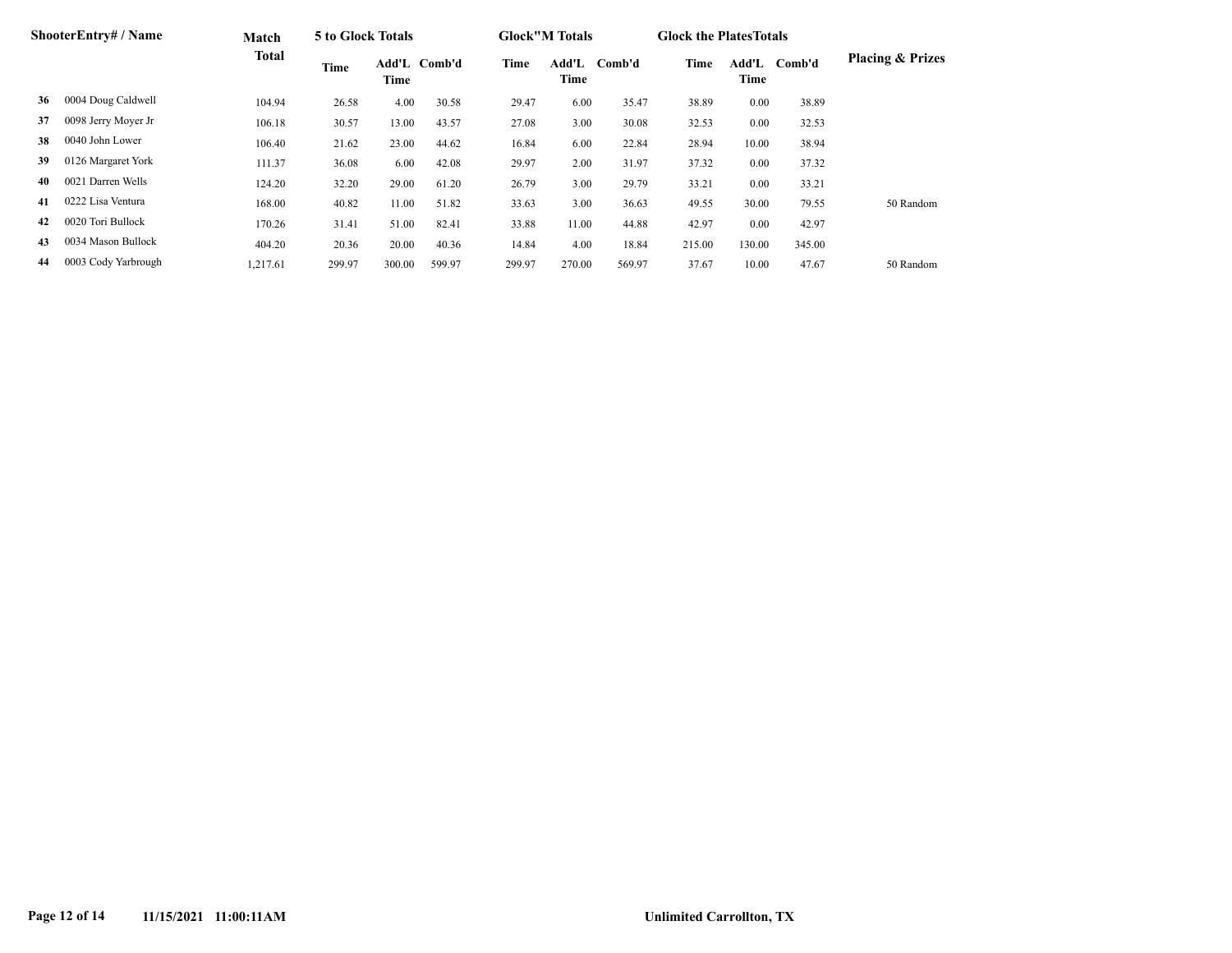| ShooterEntry# / Name |                     | Match        | 5 to Glock Totals |        |              |        | <b>Glock</b> "M Totals |        | <b>Glock the Plates Totals</b> |               |        |                             |
|----------------------|---------------------|--------------|-------------------|--------|--------------|--------|------------------------|--------|--------------------------------|---------------|--------|-----------------------------|
|                      |                     | <b>Total</b> | Time              | Time   | Add'L Comb'd | Time   | Add'L<br>Time          | Comb'd | Time                           | Add'L<br>Time | Comb'd | <b>Placing &amp; Prizes</b> |
| 36                   | 0004 Doug Caldwell  | 104.94       | 26.58             | 4.00   | 30.58        | 29.47  | 6.00                   | 35.47  | 38.89                          | 0.00          | 38.89  |                             |
| 37                   | 0098 Jerry Moyer Jr | 106.18       | 30.57             | 13.00  | 43.57        | 27.08  | 3.00                   | 30.08  | 32.53                          | 0.00          | 32.53  |                             |
| 38                   | 0040 John Lower     | 106.40       | 21.62             | 23.00  | 44.62        | 16.84  | 6.00                   | 22.84  | 28.94                          | 10.00         | 38.94  |                             |
| 39                   | 0126 Margaret York  | 111.37       | 36.08             | 6.00   | 42.08        | 29.97  | 2.00                   | 31.97  | 37.32                          | 0.00          | 37.32  |                             |
| 40                   | 0021 Darren Wells   | 124.20       | 32.20             | 29.00  | 61.20        | 26.79  | 3.00                   | 29.79  | 33.21                          | 0.00          | 33.21  |                             |
| 41                   | 0222 Lisa Ventura   | 168.00       | 40.82             | 11.00  | 51.82        | 33.63  | 3.00                   | 36.63  | 49.55                          | 30.00         | 79.55  | 50 Random                   |
| 42                   | 0020 Tori Bullock   | 170.26       | 31.41             | 51.00  | 82.41        | 33.88  | 11.00                  | 44.88  | 42.97                          | 0.00          | 42.97  |                             |
| 43                   | 0034 Mason Bullock  | 404.20       | 20.36             | 20.00  | 40.36        | 14.84  | 4.00                   | 18.84  | 215.00                         | 130.00        | 345.00 |                             |
| 44                   | 0003 Cody Yarbrough | 1,217.61     | 299.97            | 300.00 | 599.97       | 299.97 | 270.00                 | 569.97 | 37.67                          | 10.00         | 47.67  | 50 Random                   |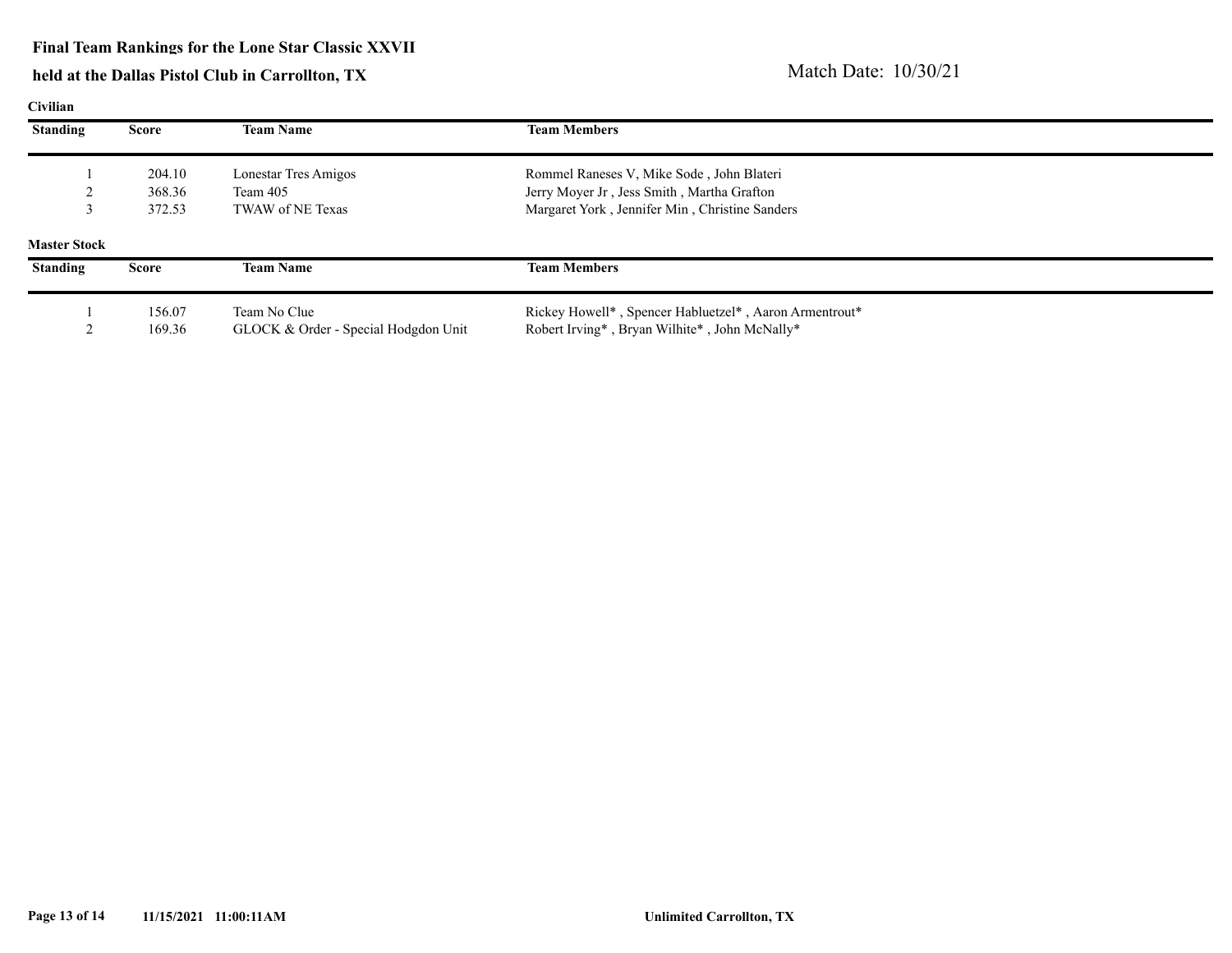#### **Final Team Rankings for the Lone Star Classic XXVII**

| Civilian            |              |                                      |                                                        |
|---------------------|--------------|--------------------------------------|--------------------------------------------------------|
| <b>Standing</b>     | <b>Score</b> | <b>Team Name</b>                     | <b>Team Members</b>                                    |
|                     | 204.10       | Lonestar Tres Amigos                 | Rommel Raneses V, Mike Sode, John Blateri              |
|                     | 368.36       | Team 405                             | Jerry Moyer Jr, Jess Smith, Martha Grafton             |
|                     | 372.53       | TWAW of NE Texas                     | Margaret York, Jennifer Min, Christine Sanders         |
| <b>Master Stock</b> |              |                                      |                                                        |
| <b>Standing</b>     | <b>Score</b> | <b>Team Name</b>                     | <b>Team Members</b>                                    |
|                     | 156.07       | Team No Clue                         | Rickey Howell*, Spencer Habluetzel*, Aaron Armentrout* |
|                     | 169.36       | GLOCK & Order - Special Hodgdon Unit | Robert Irving*, Bryan Wilhite*, John McNally*          |